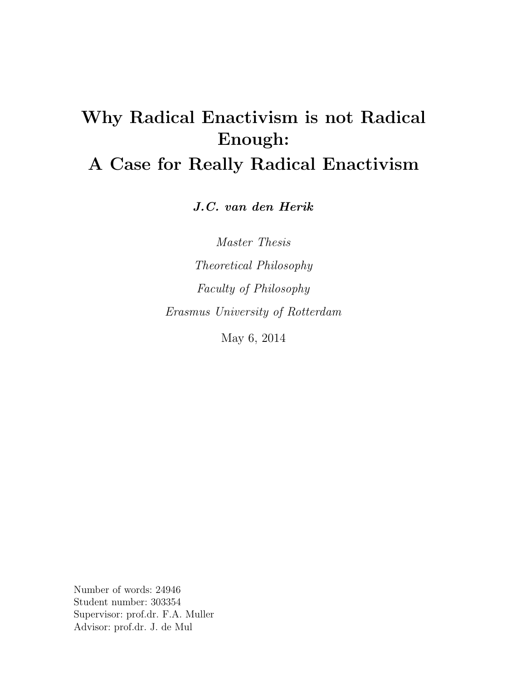# Why Radical Enactivism is not Radical Enough:

# A Case for Really Radical Enactivism

J.C. van den Herik

Master Thesis Theoretical Philosophy Faculty of Philosophy Erasmus University of Rotterdam

May 6, 2014

Number of words: 24946 Student number: 303354 Supervisor: prof.dr. F.A. Muller Advisor: prof.dr. J. de Mul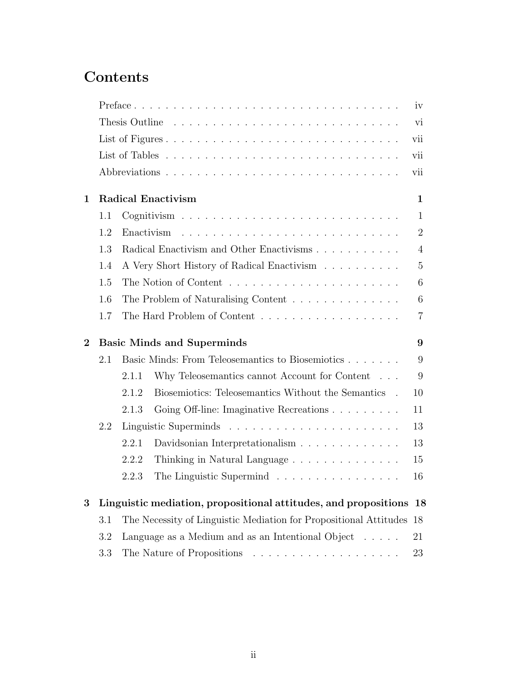# Contents

|                |     |       |                                                                      | iv             |
|----------------|-----|-------|----------------------------------------------------------------------|----------------|
|                |     |       |                                                                      | vi             |
|                |     |       |                                                                      | vii            |
|                |     |       | vii                                                                  |                |
|                |     |       |                                                                      | vii            |
| $\mathbf 1$    |     |       | <b>Radical Enactivism</b>                                            | $\mathbf{1}$   |
|                | 1.1 |       |                                                                      | $\mathbf{1}$   |
|                | 1.2 |       |                                                                      | $\overline{2}$ |
|                | 1.3 |       | Radical Enactivism and Other Enactivisms                             | $\overline{4}$ |
|                | 1.4 |       | A Very Short History of Radical Enactivism                           | $\overline{5}$ |
|                | 1.5 |       |                                                                      | 6              |
|                | 1.6 |       | The Problem of Naturalising Content                                  | 6              |
|                | 1.7 |       |                                                                      | $\overline{7}$ |
|                |     |       |                                                                      |                |
| $\overline{2}$ |     |       | <b>Basic Minds and Superminds</b>                                    | 9              |
|                | 2.1 |       | Basic Minds: From Teleosemantics to Biosemiotics                     | 9              |
|                |     | 2.1.1 | Why Teleosemantics cannot Account for Content                        | 9              |
|                |     | 2.1.2 | Biosemiotics: Teleosemantics Without the Semantics .                 | 10             |
|                |     | 2.1.3 | Going Off-line: Imaginative Recreations                              | 11             |
|                | 2.2 |       |                                                                      | 13             |
|                |     | 2.2.1 |                                                                      | 13             |
|                |     | 2.2.2 | Thinking in Natural Language                                         | 15             |
|                |     | 2.2.3 | The Linguistic Supermind                                             | 16             |
| 3              |     |       | Linguistic mediation, propositional attitudes, and propositions 18   |                |
|                | 3.1 |       | The Necessity of Linguistic Mediation for Propositional Attitudes 18 |                |
|                | 3.2 |       | Language as a Medium and as an Intentional Object $\dots$ .          | 21             |
|                | 3.3 |       |                                                                      | 23             |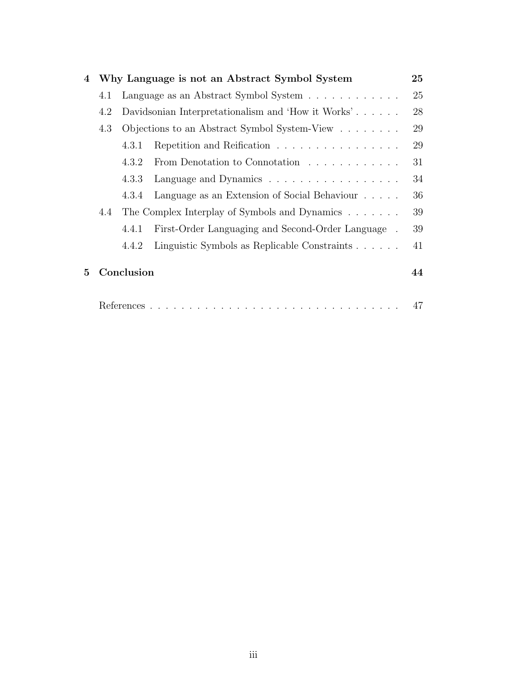| 4 |     |            | Why Language is not an Abstract Symbol System                | 25 |
|---|-----|------------|--------------------------------------------------------------|----|
|   | 4.1 |            | Language as an Abstract Symbol System                        | 25 |
|   | 4.2 |            | Davidsonian Interpretationalism and 'How it Works'           | 28 |
|   | 4.3 |            | Objections to an Abstract Symbol System-View                 | 29 |
|   |     | 4.3.1      | Repetition and Reification                                   | 29 |
|   |     | 4.3.2      | From Denotation to Connotation                               | 31 |
|   |     | 4.3.3      | Language and Dynamics                                        | 34 |
|   |     | 4.3.4      | Language as an Extension of Social Behaviour                 | 36 |
|   | 4.4 |            | The Complex Interplay of Symbols and Dynamics                | 39 |
|   |     | 4.4.1      | First-Order Languaging and Second-Order Language.            | 39 |
|   |     | 4.4.2      | Linguistic Symbols as Replicable Constraints $\ldots \ldots$ | 41 |
| 5 |     | Conclusion |                                                              | 44 |
|   |     |            |                                                              | 47 |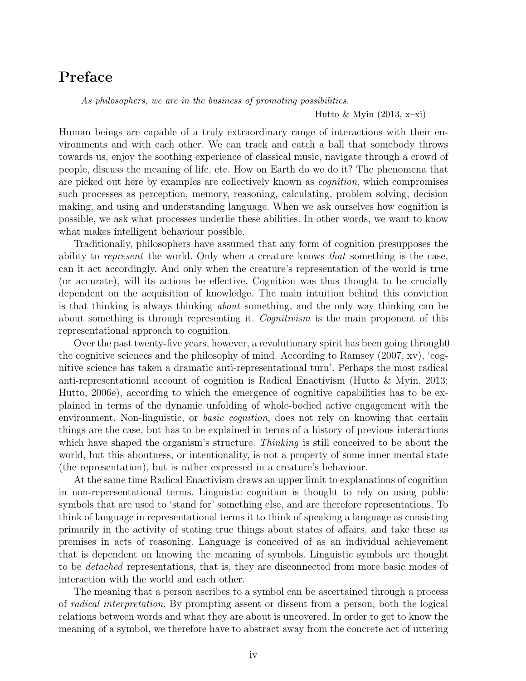# Preface

As philosophers, we are in the business of promoting possibilities.

Hutto & Myin  $(2013, x-xi)$ 

Human beings are capable of a truly extraordinary range of interactions with their environments and with each other. We can track and catch a ball that somebody throws towards us, enjoy the soothing experience of classical music, navigate through a crowd of people, discuss the meaning of life, etc. How on Earth do we do it? The phenomena that are picked out here by examples are collectively known as cognition, which compromises such processes as perception, memory, reasoning, calculating, problem solving, decision making, and using and understanding language. When we ask ourselves how cognition is possible, we ask what processes underlie these abilities. In other words, we want to know what makes intelligent behaviour possible.

Traditionally, philosophers have assumed that any form of cognition presupposes the ability to represent the world. Only when a creature knows that something is the case, can it act accordingly. And only when the creature's representation of the world is true (or accurate), will its actions be effective. Cognition was thus thought to be crucially dependent on the acquisition of knowledge. The main intuition behind this conviction is that thinking is always thinking about something, and the only way thinking can be about something is through representing it. *Cognitivism* is the main proponent of this representational approach to cognition.

Over the past twenty-five years, however, a revolutionary spirit has been going through0 the cognitive sciences and the philosophy of mind. According to Ramsey (2007, xv), 'cognitive science has taken a dramatic anti-representational turn'. Perhaps the most radical anti-representational account of cognition is Radical Enactivism (Hutto & Myin, 2013; Hutto, 2006e), according to which the emergence of cognitive capabilities has to be explained in terms of the dynamic unfolding of whole-bodied active engagement with the environment. Non-linguistic, or *basic cognition*, does not rely on knowing that certain things are the case, but has to be explained in terms of a history of previous interactions which have shaped the organism's structure. Thinking is still conceived to be about the world, but this aboutness, or intentionality, is not a property of some inner mental state (the representation), but is rather expressed in a creature's behaviour.

At the same time Radical Enactivism draws an upper limit to explanations of cognition in non-representational terms. Linguistic cognition is thought to rely on using public symbols that are used to 'stand for' something else, and are therefore representations. To think of language in representational terms it to think of speaking a language as consisting primarily in the activity of stating true things about states of affairs, and take these as premises in acts of reasoning. Language is conceived of as an individual achievement that is dependent on knowing the meaning of symbols. Linguistic symbols are thought to be detached representations, that is, they are disconnected from more basic modes of interaction with the world and each other.

The meaning that a person ascribes to a symbol can be ascertained through a process of radical interpretation. By prompting assent or dissent from a person, both the logical relations between words and what they are about is uncovered. In order to get to know the meaning of a symbol, we therefore have to abstract away from the concrete act of uttering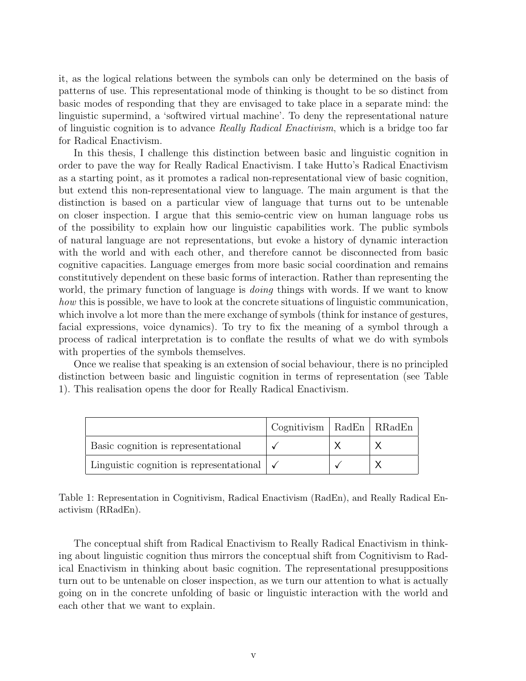it, as the logical relations between the symbols can only be determined on the basis of patterns of use. This representational mode of thinking is thought to be so distinct from basic modes of responding that they are envisaged to take place in a separate mind: the linguistic supermind, a 'softwired virtual machine'. To deny the representational nature of linguistic cognition is to advance Really Radical Enactivism, which is a bridge too far for Radical Enactivism.

In this thesis, I challenge this distinction between basic and linguistic cognition in order to pave the way for Really Radical Enactivism. I take Hutto's Radical Enactivism as a starting point, as it promotes a radical non-representational view of basic cognition, but extend this non-representational view to language. The main argument is that the distinction is based on a particular view of language that turns out to be untenable on closer inspection. I argue that this semio-centric view on human language robs us of the possibility to explain how our linguistic capabilities work. The public symbols of natural language are not representations, but evoke a history of dynamic interaction with the world and with each other, and therefore cannot be disconnected from basic cognitive capacities. Language emerges from more basic social coordination and remains constitutively dependent on these basic forms of interaction. Rather than representing the world, the primary function of language is *doing* things with words. If we want to know how this is possible, we have to look at the concrete situations of linguistic communication, which involve a lot more than the mere exchange of symbols (think for instance of gestures, facial expressions, voice dynamics). To try to fix the meaning of a symbol through a process of radical interpretation is to conflate the results of what we do with symbols with properties of the symbols themselves.

Once we realise that speaking is an extension of social behaviour, there is no principled distinction between basic and linguistic cognition in terms of representation (see Table 1). This realisation opens the door for Really Radical Enactivism.

|                                                      | $\log$ nitivism   RadEn   R $RadEn$ |  |
|------------------------------------------------------|-------------------------------------|--|
| Basic cognition is representational                  |                                     |  |
| Linguistic cognition is representational $\sqrt{\ }$ |                                     |  |

Table 1: Representation in Cognitivism, Radical Enactivism (RadEn), and Really Radical Enactivism (RRadEn).

The conceptual shift from Radical Enactivism to Really Radical Enactivism in thinking about linguistic cognition thus mirrors the conceptual shift from Cognitivism to Radical Enactivism in thinking about basic cognition. The representational presuppositions turn out to be untenable on closer inspection, as we turn our attention to what is actually going on in the concrete unfolding of basic or linguistic interaction with the world and each other that we want to explain.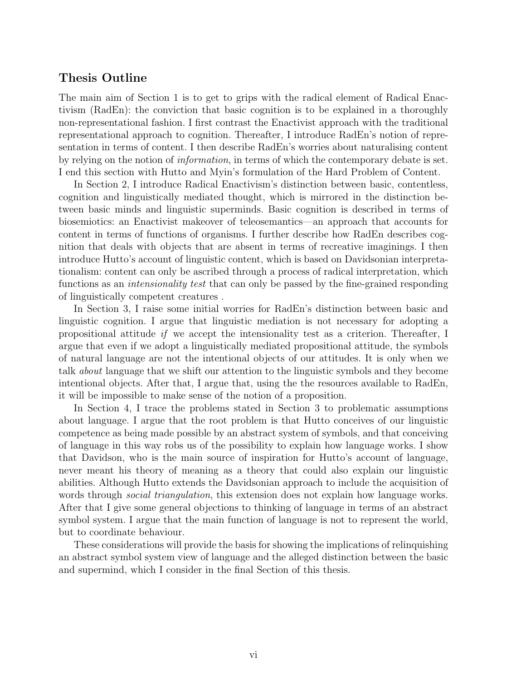### Thesis Outline

The main aim of Section 1 is to get to grips with the radical element of Radical Enactivism (RadEn): the conviction that basic cognition is to be explained in a thoroughly non-representational fashion. I first contrast the Enactivist approach with the traditional representational approach to cognition. Thereafter, I introduce RadEn's notion of representation in terms of content. I then describe RadEn's worries about naturalising content by relying on the notion of information, in terms of which the contemporary debate is set. I end this section with Hutto and Myin's formulation of the Hard Problem of Content.

In Section 2, I introduce Radical Enactivism's distinction between basic, contentless, cognition and linguistically mediated thought, which is mirrored in the distinction between basic minds and linguistic superminds. Basic cognition is described in terms of biosemiotics: an Enactivist makeover of teleosemantics—an approach that accounts for content in terms of functions of organisms. I further describe how RadEn describes cognition that deals with objects that are absent in terms of recreative imaginings. I then introduce Hutto's account of linguistic content, which is based on Davidsonian interpretationalism: content can only be ascribed through a process of radical interpretation, which functions as an *intensionality test* that can only be passed by the fine-grained responding of linguistically competent creatures .

In Section 3, I raise some initial worries for RadEn's distinction between basic and linguistic cognition. I argue that linguistic mediation is not necessary for adopting a propositional attitude if we accept the intensionality test as a criterion. Thereafter, I argue that even if we adopt a linguistically mediated propositional attitude, the symbols of natural language are not the intentional objects of our attitudes. It is only when we talk about language that we shift our attention to the linguistic symbols and they become intentional objects. After that, I argue that, using the the resources available to RadEn, it will be impossible to make sense of the notion of a proposition.

In Section 4, I trace the problems stated in Section 3 to problematic assumptions about language. I argue that the root problem is that Hutto conceives of our linguistic competence as being made possible by an abstract system of symbols, and that conceiving of language in this way robs us of the possibility to explain how language works. I show that Davidson, who is the main source of inspiration for Hutto's account of language, never meant his theory of meaning as a theory that could also explain our linguistic abilities. Although Hutto extends the Davidsonian approach to include the acquisition of words through *social triangulation*, this extension does not explain how language works. After that I give some general objections to thinking of language in terms of an abstract symbol system. I argue that the main function of language is not to represent the world, but to coordinate behaviour.

These considerations will provide the basis for showing the implications of relinquishing an abstract symbol system view of language and the alleged distinction between the basic and supermind, which I consider in the final Section of this thesis.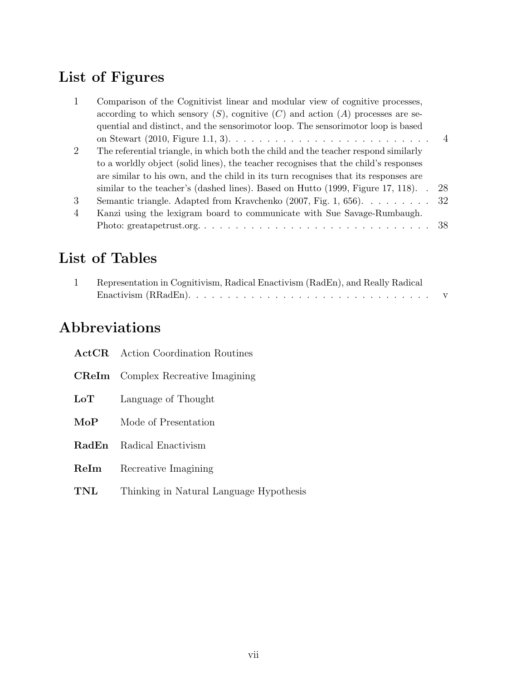# List of Figures

|                | Comparison of the Cognitivist linear and modular view of cognitive processes,                      |                |
|----------------|----------------------------------------------------------------------------------------------------|----------------|
|                | according to which sensory $(S)$ , cognitive $(C)$ and action $(A)$ processes are se-              |                |
|                | quential and distinct, and the sensorimotor loop. The sensorimotor loop is based                   |                |
|                | on Stewart (2010, Figure 1.1, 3). $\ldots \ldots \ldots \ldots \ldots \ldots \ldots \ldots \ldots$ | $\overline{4}$ |
| $\overline{2}$ | The referential triangle, in which both the child and the teacher respond similarly                |                |
|                | to a worldly object (solid lines), the teacher recognises that the child's responses               |                |
|                | are similar to his own, and the child in its turn recognises that its responses are                |                |
|                | similar to the teacher's (dashed lines). Based on Hutto $(1999,$ Figure 17, 118).                  | 28             |
| 3              | Semantic triangle. Adapted from Kravchenko (2007, Fig. 1, 656). 32                                 |                |
| $\overline{4}$ | Kanzi using the lexigram board to communicate with Sue Savage-Rumbaugh.                            |                |
|                |                                                                                                    | 38             |
|                |                                                                                                    |                |

# List of Tables

| Representation in Cognitivism, Radical Enactivism (RadEn), and Really Radical                        |  |
|------------------------------------------------------------------------------------------------------|--|
| Enactivism (RRadEn). $\dots \dots \dots \dots \dots \dots \dots \dots \dots \dots \dots \dots \dots$ |  |

# Abbreviations

|              | <b>ActCR</b> Action Coordination Routines |
|--------------|-------------------------------------------|
|              | <b>CReIm</b> Complex Recreative Imagining |
| LoT          | Language of Thought                       |
| MoP          | Mode of Presentation                      |
| <b>RadEn</b> | Radical Enactivism                        |
| ReIm         | Recreative Imagining                      |
| TNL          | Thinking in Natural Language Hypothesis   |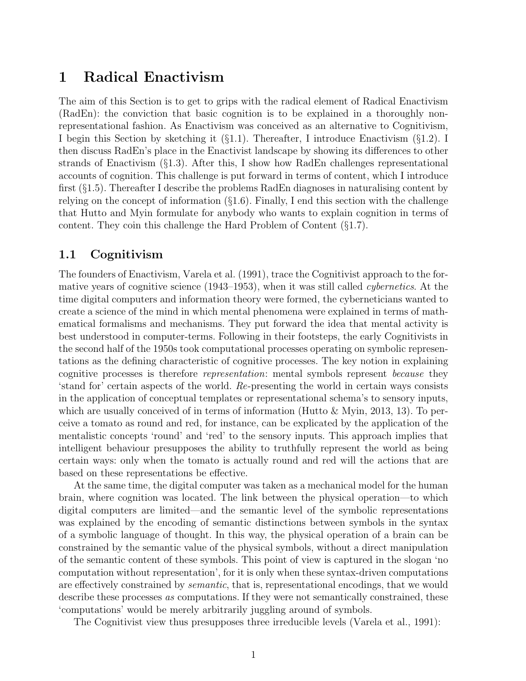# 1 Radical Enactivism

The aim of this Section is to get to grips with the radical element of Radical Enactivism (RadEn): the conviction that basic cognition is to be explained in a thoroughly nonrepresentational fashion. As Enactivism was conceived as an alternative to Cognitivism, I begin this Section by sketching it  $(\S1.1)$ . Thereafter, I introduce Enactivism  $(\S1.2)$ . I then discuss RadEn's place in the Enactivist landscape by showing its differences to other strands of Enactivism (§1.3). After this, I show how RadEn challenges representational accounts of cognition. This challenge is put forward in terms of content, which I introduce first (§1.5). Thereafter I describe the problems RadEn diagnoses in naturalising content by relying on the concept of information (§1.6). Finally, I end this section with the challenge that Hutto and Myin formulate for anybody who wants to explain cognition in terms of content. They coin this challenge the Hard Problem of Content (§1.7).

# 1.1 Cognitivism

The founders of Enactivism, Varela et al. (1991), trace the Cognitivist approach to the formative years of cognitive science (1943–1953), when it was still called cybernetics. At the time digital computers and information theory were formed, the cyberneticians wanted to create a science of the mind in which mental phenomena were explained in terms of mathematical formalisms and mechanisms. They put forward the idea that mental activity is best understood in computer-terms. Following in their footsteps, the early Cognitivists in the second half of the 1950s took computational processes operating on symbolic representations as the defining characteristic of cognitive processes. The key notion in explaining cognitive processes is therefore *representation*: mental symbols represent *because* they 'stand for' certain aspects of the world. Re-presenting the world in certain ways consists in the application of conceptual templates or representational schema's to sensory inputs, which are usually conceived of in terms of information (Hutto  $\&$  Myin, 2013, 13). To perceive a tomato as round and red, for instance, can be explicated by the application of the mentalistic concepts 'round' and 'red' to the sensory inputs. This approach implies that intelligent behaviour presupposes the ability to truthfully represent the world as being certain ways: only when the tomato is actually round and red will the actions that are based on these representations be effective.

At the same time, the digital computer was taken as a mechanical model for the human brain, where cognition was located. The link between the physical operation—to which digital computers are limited—and the semantic level of the symbolic representations was explained by the encoding of semantic distinctions between symbols in the syntax of a symbolic language of thought. In this way, the physical operation of a brain can be constrained by the semantic value of the physical symbols, without a direct manipulation of the semantic content of these symbols. This point of view is captured in the slogan 'no computation without representation', for it is only when these syntax-driven computations are effectively constrained by semantic, that is, representational encodings, that we would describe these processes as computations. If they were not semantically constrained, these 'computations' would be merely arbitrarily juggling around of symbols.

The Cognitivist view thus presupposes three irreducible levels (Varela et al., 1991):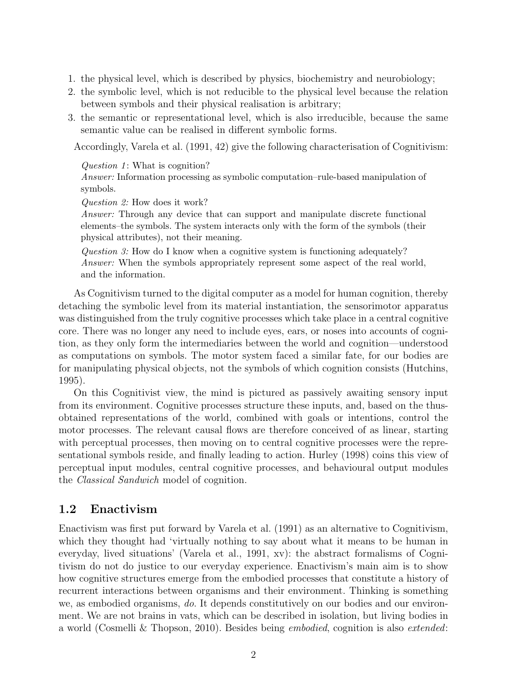- 1. the physical level, which is described by physics, biochemistry and neurobiology;
- 2. the symbolic level, which is not reducible to the physical level because the relation between symbols and their physical realisation is arbitrary;
- 3. the semantic or representational level, which is also irreducible, because the same semantic value can be realised in different symbolic forms.

Accordingly, Varela et al. (1991, 42) give the following characterisation of Cognitivism:

#### Question  $1$ : What is cognition?

Answer: Information processing as symbolic computation–rule-based manipulation of symbols.

Question 2: How does it work?

Answer: Through any device that can support and manipulate discrete functional elements–the symbols. The system interacts only with the form of the symbols (their physical attributes), not their meaning.

Question  $\hat{J}$ : How do I know when a cognitive system is functioning adequately? Answer: When the symbols appropriately represent some aspect of the real world, and the information.

As Cognitivism turned to the digital computer as a model for human cognition, thereby detaching the symbolic level from its material instantiation, the sensorimotor apparatus was distinguished from the truly cognitive processes which take place in a central cognitive core. There was no longer any need to include eyes, ears, or noses into accounts of cognition, as they only form the intermediaries between the world and cognition—understood as computations on symbols. The motor system faced a similar fate, for our bodies are for manipulating physical objects, not the symbols of which cognition consists (Hutchins, 1995).

On this Cognitivist view, the mind is pictured as passively awaiting sensory input from its environment. Cognitive processes structure these inputs, and, based on the thusobtained representations of the world, combined with goals or intentions, control the motor processes. The relevant causal flows are therefore conceived of as linear, starting with perceptual processes, then moving on to central cognitive processes were the representational symbols reside, and finally leading to action. Hurley (1998) coins this view of perceptual input modules, central cognitive processes, and behavioural output modules the Classical Sandwich model of cognition.

# 1.2 Enactivism

Enactivism was first put forward by Varela et al. (1991) as an alternative to Cognitivism, which they thought had 'virtually nothing to say about what it means to be human in everyday, lived situations' (Varela et al., 1991, xv): the abstract formalisms of Cognitivism do not do justice to our everyday experience. Enactivism's main aim is to show how cognitive structures emerge from the embodied processes that constitute a history of recurrent interactions between organisms and their environment. Thinking is something we, as embodied organisms, do. It depends constitutively on our bodies and our environment. We are not brains in vats, which can be described in isolation, but living bodies in a world (Cosmelli & Thopson, 2010). Besides being embodied, cognition is also extended: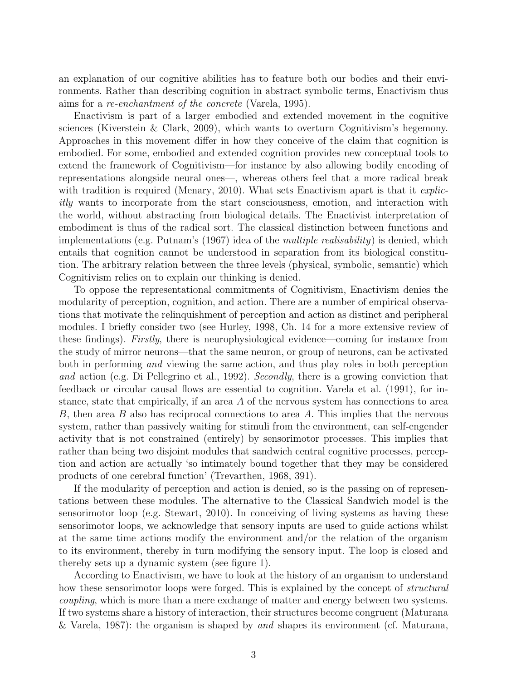an explanation of our cognitive abilities has to feature both our bodies and their environments. Rather than describing cognition in abstract symbolic terms, Enactivism thus aims for a re-enchantment of the concrete (Varela, 1995).

Enactivism is part of a larger embodied and extended movement in the cognitive sciences (Kiverstein & Clark, 2009), which wants to overturn Cognitivism's hegemony. Approaches in this movement differ in how they conceive of the claim that cognition is embodied. For some, embodied and extended cognition provides new conceptual tools to extend the framework of Cognitivism—for instance by also allowing bodily encoding of representations alongside neural ones—, whereas others feel that a more radical break with tradition is required (Menary, 2010). What sets Enactivism apart is that it *explic*itly wants to incorporate from the start consciousness, emotion, and interaction with the world, without abstracting from biological details. The Enactivist interpretation of embodiment is thus of the radical sort. The classical distinction between functions and implementations (e.g. Putnam's (1967) idea of the multiple realisability) is denied, which entails that cognition cannot be understood in separation from its biological constitution. The arbitrary relation between the three levels (physical, symbolic, semantic) which Cognitivism relies on to explain our thinking is denied.

To oppose the representational commitments of Cognitivism, Enactivism denies the modularity of perception, cognition, and action. There are a number of empirical observations that motivate the relinquishment of perception and action as distinct and peripheral modules. I briefly consider two (see Hurley, 1998, Ch. 14 for a more extensive review of these findings). Firstly, there is neurophysiological evidence—coming for instance from the study of mirror neurons—that the same neuron, or group of neurons, can be activated both in performing *and* viewing the same action, and thus play roles in both perception and action (e.g. Di Pellegrino et al., 1992). Secondly, there is a growing conviction that feedback or circular causal flows are essential to cognition. Varela et al. (1991), for instance, state that empirically, if an area A of the nervous system has connections to area B, then area B also has reciprocal connections to area  $A$ . This implies that the nervous system, rather than passively waiting for stimuli from the environment, can self-engender activity that is not constrained (entirely) by sensorimotor processes. This implies that rather than being two disjoint modules that sandwich central cognitive processes, perception and action are actually 'so intimately bound together that they may be considered products of one cerebral function' (Trevarthen, 1968, 391).

If the modularity of perception and action is denied, so is the passing on of representations between these modules. The alternative to the Classical Sandwich model is the sensorimotor loop (e.g. Stewart, 2010). In conceiving of living systems as having these sensorimotor loops, we acknowledge that sensory inputs are used to guide actions whilst at the same time actions modify the environment and/or the relation of the organism to its environment, thereby in turn modifying the sensory input. The loop is closed and thereby sets up a dynamic system (see figure 1).

According to Enactivism, we have to look at the history of an organism to understand how these sensorimotor loops were forged. This is explained by the concept of *structural* coupling, which is more than a mere exchange of matter and energy between two systems. If two systems share a history of interaction, their structures become congruent (Maturana & Varela, 1987): the organism is shaped by and shapes its environment (cf. Maturana,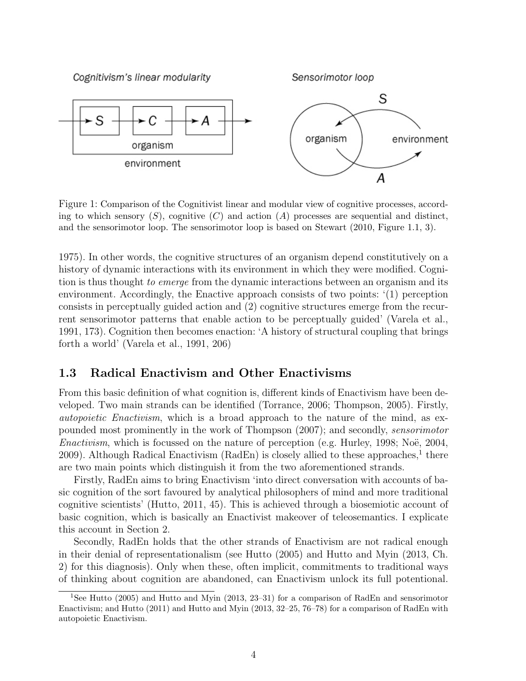Cognitivism's linear modularity

Sensorimotor loop



Figure 1: Comparison of the Cognitivist linear and modular view of cognitive processes, according to which sensory  $(S)$ , cognitive  $(C)$  and action  $(A)$  processes are sequential and distinct, and the sensorimotor loop. The sensorimotor loop is based on Stewart (2010, Figure 1.1, 3).

1975). In other words, the cognitive structures of an organism depend constitutively on a history of dynamic interactions with its environment in which they were modified. Cognition is thus thought to emerge from the dynamic interactions between an organism and its environment. Accordingly, the Enactive approach consists of two points: '(1) perception consists in perceptually guided action and (2) cognitive structures emerge from the recurrent sensorimotor patterns that enable action to be perceptually guided' (Varela et al., 1991, 173). Cognition then becomes enaction: 'A history of structural coupling that brings forth a world' (Varela et al., 1991, 206)

## 1.3 Radical Enactivism and Other Enactivisms

From this basic definition of what cognition is, different kinds of Enactivism have been developed. Two main strands can be identified (Torrance, 2006; Thompson, 2005). Firstly, autopoietic Enactivism, which is a broad approach to the nature of the mind, as expounded most prominently in the work of Thompson (2007); and secondly, sensorimotor *Enactivism*, which is focussed on the nature of perception (e.g. Hurley, 1998; Noë, 2004, 2009). Although Radical Enactivism (RadEn) is closely allied to these approaches,<sup>1</sup> there are two main points which distinguish it from the two aforementioned strands.

Firstly, RadEn aims to bring Enactivism 'into direct conversation with accounts of basic cognition of the sort favoured by analytical philosophers of mind and more traditional cognitive scientists' (Hutto, 2011, 45). This is achieved through a biosemiotic account of basic cognition, which is basically an Enactivist makeover of teleosemantics. I explicate this account in Section 2.

Secondly, RadEn holds that the other strands of Enactivism are not radical enough in their denial of representationalism (see Hutto (2005) and Hutto and Myin (2013, Ch. 2) for this diagnosis). Only when these, often implicit, commitments to traditional ways of thinking about cognition are abandoned, can Enactivism unlock its full potentional.

<sup>1</sup>See Hutto (2005) and Hutto and Myin (2013, 23–31) for a comparison of RadEn and sensorimotor Enactivism; and Hutto (2011) and Hutto and Myin (2013, 32–25, 76–78) for a comparison of RadEn with autopoietic Enactivism.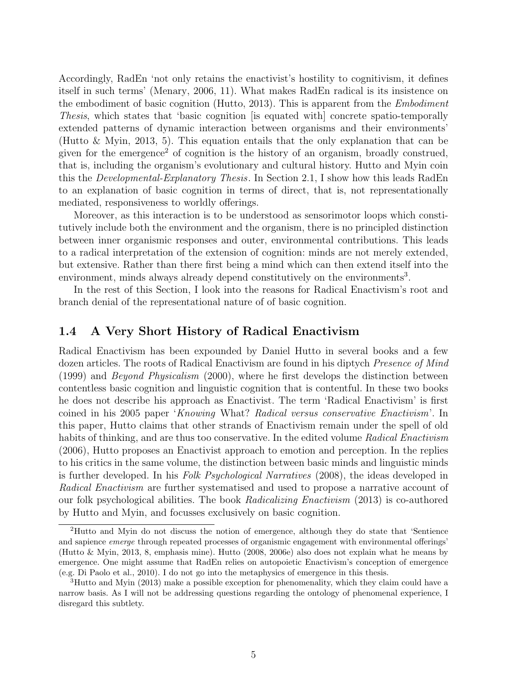Accordingly, RadEn 'not only retains the enactivist's hostility to cognitivism, it defines itself in such terms' (Menary, 2006, 11). What makes RadEn radical is its insistence on the embodiment of basic cognition (Hutto, 2013). This is apparent from the Embodiment Thesis, which states that 'basic cognition [is equated with] concrete spatio-temporally extended patterns of dynamic interaction between organisms and their environments' (Hutto & Myin, 2013, 5). This equation entails that the only explanation that can be given for the emergence<sup>2</sup> of cognition is the history of an organism, broadly construed, that is, including the organism's evolutionary and cultural history. Hutto and Myin coin this the *Developmental-Explanatory Thesis*. In Section 2.1, I show how this leads RadEn to an explanation of basic cognition in terms of direct, that is, not representationally mediated, responsiveness to worldly offerings.

Moreover, as this interaction is to be understood as sensorimotor loops which constitutively include both the environment and the organism, there is no principled distinction between inner organismic responses and outer, environmental contributions. This leads to a radical interpretation of the extension of cognition: minds are not merely extended, but extensive. Rather than there first being a mind which can then extend itself into the environment, minds always already depend constitutively on the environments<sup>3</sup>.

In the rest of this Section, I look into the reasons for Radical Enactivism's root and branch denial of the representational nature of of basic cognition.

## 1.4 A Very Short History of Radical Enactivism

Radical Enactivism has been expounded by Daniel Hutto in several books and a few dozen articles. The roots of Radical Enactivism are found in his diptych Presence of Mind (1999) and Beyond Physicalism (2000), where he first develops the distinction between contentless basic cognition and linguistic cognition that is contentful. In these two books he does not describe his approach as Enactivist. The term 'Radical Enactivism' is first coined in his 2005 paper 'Knowing What? Radical versus conservative Enactivism'. In this paper, Hutto claims that other strands of Enactivism remain under the spell of old habits of thinking, and are thus too conservative. In the edited volume Radical Enactivism (2006), Hutto proposes an Enactivist approach to emotion and perception. In the replies to his critics in the same volume, the distinction between basic minds and linguistic minds is further developed. In his Folk Psychological Narratives (2008), the ideas developed in Radical Enactivism are further systematised and used to propose a narrative account of our folk psychological abilities. The book Radicalizing Enactivism (2013) is co-authored by Hutto and Myin, and focusses exclusively on basic cognition.

<sup>2</sup>Hutto and Myin do not discuss the notion of emergence, although they do state that 'Sentience and sapience *emerge* through repeated processes of organismic engagement with environmental offerings' (Hutto & Myin, 2013, 8, emphasis mine). Hutto (2008, 2006e) also does not explain what he means by emergence. One might assume that RadEn relies on autopoietic Enactivism's conception of emergence (e.g. Di Paolo et al., 2010). I do not go into the metaphysics of emergence in this thesis.

<sup>&</sup>lt;sup>3</sup>Hutto and Myin (2013) make a possible exception for phenomenality, which they claim could have a narrow basis. As I will not be addressing questions regarding the ontology of phenomenal experience, I disregard this subtlety.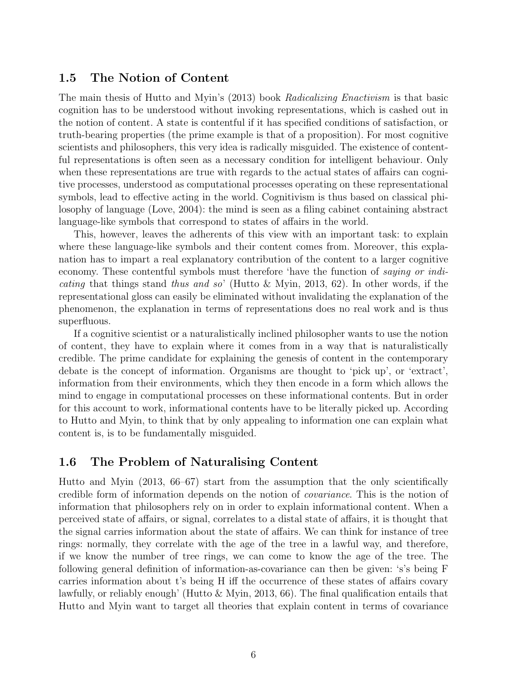## 1.5 The Notion of Content

The main thesis of Hutto and Myin's (2013) book Radicalizing Enactivism is that basic cognition has to be understood without invoking representations, which is cashed out in the notion of content. A state is contentful if it has specified conditions of satisfaction, or truth-bearing properties (the prime example is that of a proposition). For most cognitive scientists and philosophers, this very idea is radically misguided. The existence of contentful representations is often seen as a necessary condition for intelligent behaviour. Only when these representations are true with regards to the actual states of affairs can cognitive processes, understood as computational processes operating on these representational symbols, lead to effective acting in the world. Cognitivism is thus based on classical philosophy of language (Love, 2004): the mind is seen as a filing cabinet containing abstract language-like symbols that correspond to states of affairs in the world.

This, however, leaves the adherents of this view with an important task: to explain where these language-like symbols and their content comes from. Moreover, this explanation has to impart a real explanatory contribution of the content to a larger cognitive economy. These contentful symbols must therefore 'have the function of saying or indi*cating* that things stand *thus and so*' (Hutto & Myin, 2013, 62). In other words, if the representational gloss can easily be eliminated without invalidating the explanation of the phenomenon, the explanation in terms of representations does no real work and is thus superfluous.

If a cognitive scientist or a naturalistically inclined philosopher wants to use the notion of content, they have to explain where it comes from in a way that is naturalistically credible. The prime candidate for explaining the genesis of content in the contemporary debate is the concept of information. Organisms are thought to 'pick up', or 'extract', information from their environments, which they then encode in a form which allows the mind to engage in computational processes on these informational contents. But in order for this account to work, informational contents have to be literally picked up. According to Hutto and Myin, to think that by only appealing to information one can explain what content is, is to be fundamentally misguided.

## 1.6 The Problem of Naturalising Content

Hutto and Myin (2013, 66–67) start from the assumption that the only scientifically credible form of information depends on the notion of covariance. This is the notion of information that philosophers rely on in order to explain informational content. When a perceived state of affairs, or signal, correlates to a distal state of affairs, it is thought that the signal carries information about the state of affairs. We can think for instance of tree rings: normally, they correlate with the age of the tree in a lawful way, and therefore, if we know the number of tree rings, we can come to know the age of the tree. The following general definition of information-as-covariance can then be given: 's's being F carries information about t's being H iff the occurrence of these states of affairs covary lawfully, or reliably enough' (Hutto & Myin, 2013, 66). The final qualification entails that Hutto and Myin want to target all theories that explain content in terms of covariance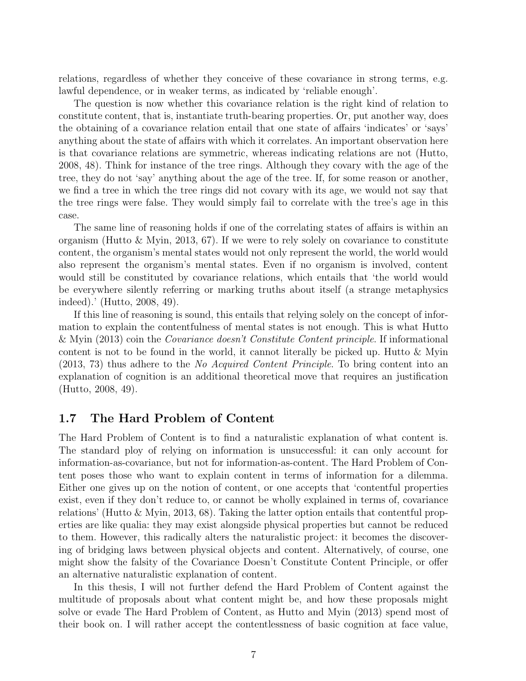relations, regardless of whether they conceive of these covariance in strong terms, e.g. lawful dependence, or in weaker terms, as indicated by 'reliable enough'.

The question is now whether this covariance relation is the right kind of relation to constitute content, that is, instantiate truth-bearing properties. Or, put another way, does the obtaining of a covariance relation entail that one state of affairs 'indicates' or 'says' anything about the state of affairs with which it correlates. An important observation here is that covariance relations are symmetric, whereas indicating relations are not (Hutto, 2008, 48). Think for instance of the tree rings. Although they covary with the age of the tree, they do not 'say' anything about the age of the tree. If, for some reason or another, we find a tree in which the tree rings did not covary with its age, we would not say that the tree rings were false. They would simply fail to correlate with the tree's age in this case.

The same line of reasoning holds if one of the correlating states of affairs is within an organism (Hutto & Myin, 2013, 67). If we were to rely solely on covariance to constitute content, the organism's mental states would not only represent the world, the world would also represent the organism's mental states. Even if no organism is involved, content would still be constituted by covariance relations, which entails that 'the world would be everywhere silently referring or marking truths about itself (a strange metaphysics indeed).' (Hutto, 2008, 49).

If this line of reasoning is sound, this entails that relying solely on the concept of information to explain the contentfulness of mental states is not enough. This is what Hutto & Myin (2013) coin the Covariance doesn't Constitute Content principle. If informational content is not to be found in the world, it cannot literally be picked up. Hutto  $\&$  Myin (2013, 73) thus adhere to the No Acquired Content Principle. To bring content into an explanation of cognition is an additional theoretical move that requires an justification (Hutto, 2008, 49).

# 1.7 The Hard Problem of Content

The Hard Problem of Content is to find a naturalistic explanation of what content is. The standard ploy of relying on information is unsuccessful: it can only account for information-as-covariance, but not for information-as-content. The Hard Problem of Content poses those who want to explain content in terms of information for a dilemma. Either one gives up on the notion of content, or one accepts that 'contentful properties exist, even if they don't reduce to, or cannot be wholly explained in terms of, covariance relations' (Hutto & Myin, 2013, 68). Taking the latter option entails that contentful properties are like qualia: they may exist alongside physical properties but cannot be reduced to them. However, this radically alters the naturalistic project: it becomes the discovering of bridging laws between physical objects and content. Alternatively, of course, one might show the falsity of the Covariance Doesn't Constitute Content Principle, or offer an alternative naturalistic explanation of content.

In this thesis, I will not further defend the Hard Problem of Content against the multitude of proposals about what content might be, and how these proposals might solve or evade The Hard Problem of Content, as Hutto and Myin (2013) spend most of their book on. I will rather accept the contentlessness of basic cognition at face value,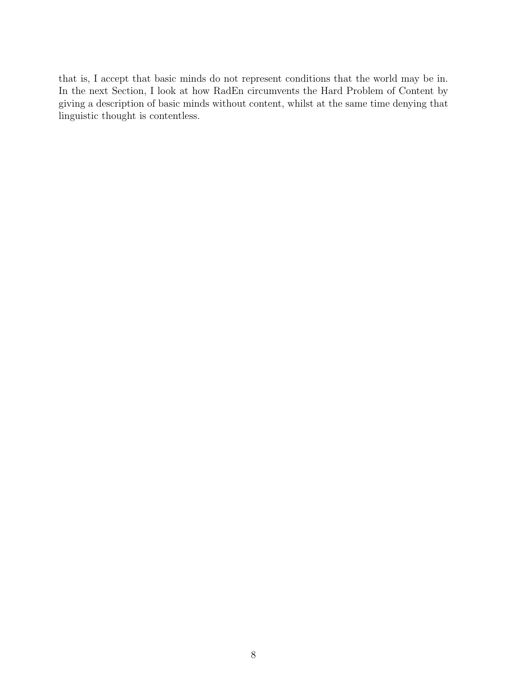that is, I accept that basic minds do not represent conditions that the world may be in. In the next Section, I look at how RadEn circumvents the Hard Problem of Content by giving a description of basic minds without content, whilst at the same time denying that linguistic thought is contentless.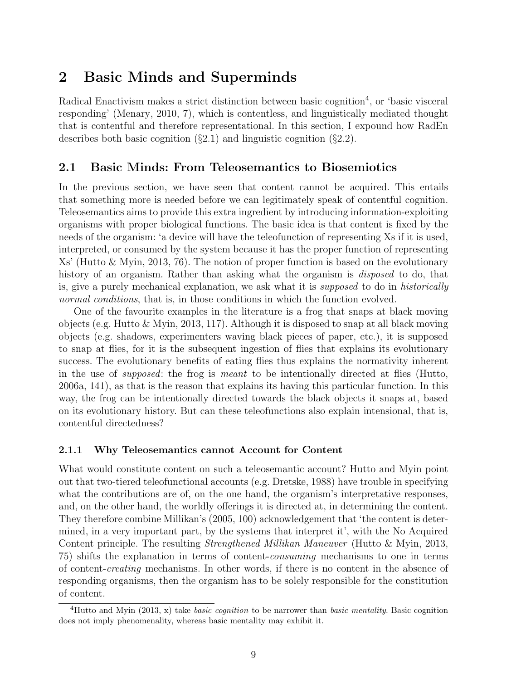# 2 Basic Minds and Superminds

Radical Enactivism makes a strict distinction between basic cognition<sup>4</sup>, or 'basic visceral responding' (Menary, 2010, 7), which is contentless, and linguistically mediated thought that is contentful and therefore representational. In this section, I expound how RadEn describes both basic cognition  $(\S2.1)$  and linguistic cognition  $(\S2.2)$ .

## 2.1 Basic Minds: From Teleosemantics to Biosemiotics

In the previous section, we have seen that content cannot be acquired. This entails that something more is needed before we can legitimately speak of contentful cognition. Teleosemantics aims to provide this extra ingredient by introducing information-exploiting organisms with proper biological functions. The basic idea is that content is fixed by the needs of the organism: 'a device will have the teleofunction of representing Xs if it is used, interpreted, or consumed by the system because it has the proper function of representing Xs' (Hutto & Myin, 2013, 76). The notion of proper function is based on the evolutionary history of an organism. Rather than asking what the organism is *disposed* to do, that is, give a purely mechanical explanation, we ask what it is supposed to do in historically normal conditions, that is, in those conditions in which the function evolved.

One of the favourite examples in the literature is a frog that snaps at black moving objects (e.g. Hutto & Myin, 2013, 117). Although it is disposed to snap at all black moving objects (e.g. shadows, experimenters waving black pieces of paper, etc.), it is supposed to snap at flies, for it is the subsequent ingestion of flies that explains its evolutionary success. The evolutionary benefits of eating flies thus explains the normativity inherent in the use of supposed: the frog is meant to be intentionally directed at flies (Hutto, 2006a, 141), as that is the reason that explains its having this particular function. In this way, the frog can be intentionally directed towards the black objects it snaps at, based on its evolutionary history. But can these teleofunctions also explain intensional, that is, contentful directedness?

#### 2.1.1 Why Teleosemantics cannot Account for Content

What would constitute content on such a teleosemantic account? Hutto and Myin point out that two-tiered teleofunctional accounts (e.g. Dretske, 1988) have trouble in specifying what the contributions are of, on the one hand, the organism's interpretative responses, and, on the other hand, the worldly offerings it is directed at, in determining the content. They therefore combine Millikan's (2005, 100) acknowledgement that 'the content is determined, in a very important part, by the systems that interpret it', with the No Acquired Content principle. The resulting Strengthened Millikan Maneuver (Hutto & Myin, 2013, 75) shifts the explanation in terms of content-consuming mechanisms to one in terms of content-creating mechanisms. In other words, if there is no content in the absence of responding organisms, then the organism has to be solely responsible for the constitution of content.

<sup>&</sup>lt;sup>4</sup>Hutto and Myin (2013, x) take *basic cognition* to be narrower than *basic mentality*. Basic cognition does not imply phenomenality, whereas basic mentality may exhibit it.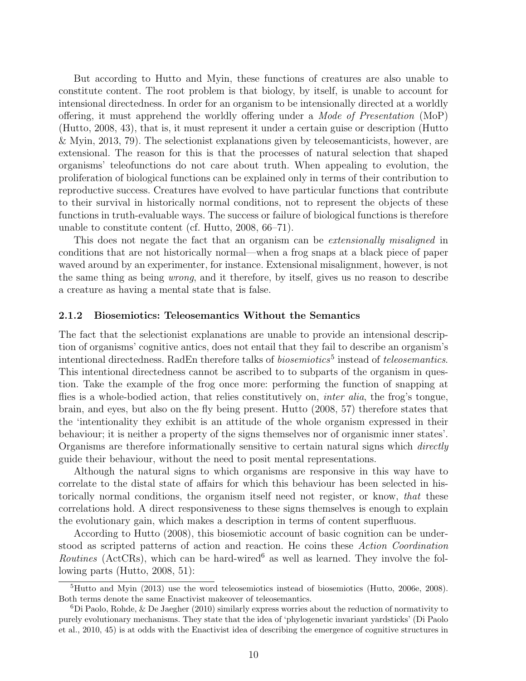But according to Hutto and Myin, these functions of creatures are also unable to constitute content. The root problem is that biology, by itself, is unable to account for intensional directedness. In order for an organism to be intensionally directed at a worldly offering, it must apprehend the worldly offering under a Mode of Presentation (MoP) (Hutto, 2008, 43), that is, it must represent it under a certain guise or description (Hutto & Myin, 2013, 79). The selectionist explanations given by teleosemanticists, however, are extensional. The reason for this is that the processes of natural selection that shaped organisms' teleofunctions do not care about truth. When appealing to evolution, the proliferation of biological functions can be explained only in terms of their contribution to reproductive success. Creatures have evolved to have particular functions that contribute to their survival in historically normal conditions, not to represent the objects of these functions in truth-evaluable ways. The success or failure of biological functions is therefore unable to constitute content (cf. Hutto, 2008, 66–71).

This does not negate the fact that an organism can be *extensionally misaligned* in conditions that are not historically normal—when a frog snaps at a black piece of paper waved around by an experimenter, for instance. Extensional misalignment, however, is not the same thing as being wrong, and it therefore, by itself, gives us no reason to describe a creature as having a mental state that is false.

#### 2.1.2 Biosemiotics: Teleosemantics Without the Semantics

The fact that the selectionist explanations are unable to provide an intensional description of organisms' cognitive antics, does not entail that they fail to describe an organism's intentional directedness. RadEn therefore talks of *biosemiotics*<sup>5</sup> instead of *teleosemantics*. This intentional directedness cannot be ascribed to to subparts of the organism in question. Take the example of the frog once more: performing the function of snapping at flies is a whole-bodied action, that relies constitutively on, *inter alia*, the frog's tongue, brain, and eyes, but also on the fly being present. Hutto (2008, 57) therefore states that the 'intentionality they exhibit is an attitude of the whole organism expressed in their behaviour; it is neither a property of the signs themselves nor of organismic inner states'. Organisms are therefore informationally sensitive to certain natural signs which directly guide their behaviour, without the need to posit mental representations.

Although the natural signs to which organisms are responsive in this way have to correlate to the distal state of affairs for which this behaviour has been selected in historically normal conditions, the organism itself need not register, or know, that these correlations hold. A direct responsiveness to these signs themselves is enough to explain the evolutionary gain, which makes a description in terms of content superfluous.

According to Hutto (2008), this biosemiotic account of basic cognition can be understood as scripted patterns of action and reaction. He coins these Action Coordination Routines (ActCRs), which can be hard-wired<sup>6</sup> as well as learned. They involve the following parts (Hutto, 2008, 51):

 ${}^{5}$ Hutto and Myin (2013) use the word teleosemiotics instead of biosemiotics (Hutto, 2006e, 2008). Both terms denote the same Enactivist makeover of teleosemantics.

 ${}^{6}$ Di Paolo, Rohde, & De Jaegher (2010) similarly express worries about the reduction of normativity to purely evolutionary mechanisms. They state that the idea of 'phylogenetic invariant yardsticks' (Di Paolo et al., 2010, 45) is at odds with the Enactivist idea of describing the emergence of cognitive structures in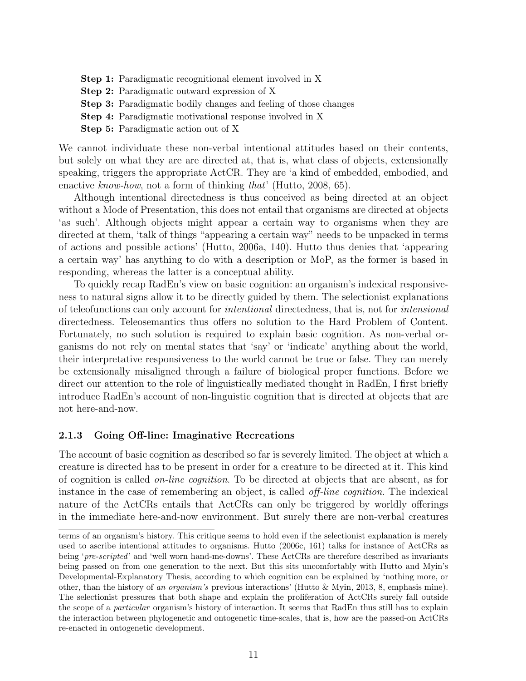- Step 1: Paradigmatic recognitional element involved in X
- Step 2: Paradigmatic outward expression of X
- Step 3: Paradigmatic bodily changes and feeling of those changes
- Step 4: Paradigmatic motivational response involved in X
- Step 5: Paradigmatic action out of X

We cannot individuate these non-verbal intentional attitudes based on their contents, but solely on what they are are directed at, that is, what class of objects, extensionally speaking, triggers the appropriate ActCR. They are 'a kind of embedded, embodied, and enactive know-how, not a form of thinking that' (Hutto, 2008, 65).

Although intentional directedness is thus conceived as being directed at an object without a Mode of Presentation, this does not entail that organisms are directed at objects 'as such'. Although objects might appear a certain way to organisms when they are directed at them, 'talk of things "appearing a certain way" needs to be unpacked in terms of actions and possible actions' (Hutto, 2006a, 140). Hutto thus denies that 'appearing a certain way' has anything to do with a description or MoP, as the former is based in responding, whereas the latter is a conceptual ability.

To quickly recap RadEn's view on basic cognition: an organism's indexical responsiveness to natural signs allow it to be directly guided by them. The selectionist explanations of teleofunctions can only account for intentional directedness, that is, not for intensional directedness. Teleosemantics thus offers no solution to the Hard Problem of Content. Fortunately, no such solution is required to explain basic cognition. As non-verbal organisms do not rely on mental states that 'say' or 'indicate' anything about the world, their interpretative responsiveness to the world cannot be true or false. They can merely be extensionally misaligned through a failure of biological proper functions. Before we direct our attention to the role of linguistically mediated thought in RadEn, I first briefly introduce RadEn's account of non-linguistic cognition that is directed at objects that are not here-and-now.

#### 2.1.3 Going Off-line: Imaginative Recreations

The account of basic cognition as described so far is severely limited. The object at which a creature is directed has to be present in order for a creature to be directed at it. This kind of cognition is called on-line cognition. To be directed at objects that are absent, as for instance in the case of remembering an object, is called off-line cognition. The indexical nature of the ActCRs entails that ActCRs can only be triggered by worldly offerings in the immediate here-and-now environment. But surely there are non-verbal creatures

terms of an organism's history. This critique seems to hold even if the selectionist explanation is merely used to ascribe intentional attitudes to organisms. Hutto (2006c, 161) talks for instance of ActCRs as being 'pre-scripted' and 'well worn hand-me-downs'. These ActCRs are therefore described as invariants being passed on from one generation to the next. But this sits uncomfortably with Hutto and Myin's Developmental-Explanatory Thesis, according to which cognition can be explained by 'nothing more, or other, than the history of an organism's previous interactions' (Hutto & Myin, 2013, 8, emphasis mine). The selectionist pressures that both shape and explain the proliferation of ActCRs surely fall outside the scope of a particular organism's history of interaction. It seems that RadEn thus still has to explain the interaction between phylogenetic and ontogenetic time-scales, that is, how are the passed-on ActCRs re-enacted in ontogenetic development.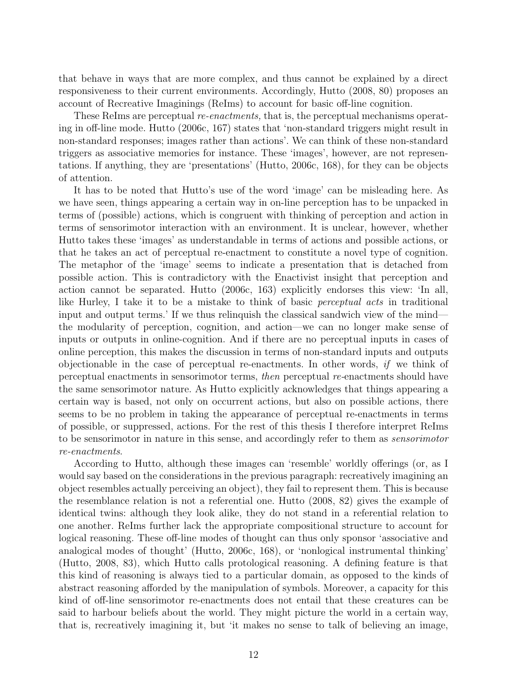that behave in ways that are more complex, and thus cannot be explained by a direct responsiveness to their current environments. Accordingly, Hutto (2008, 80) proposes an account of Recreative Imaginings (ReIms) to account for basic off-line cognition.

These ReIms are perceptual *re-enactments*, that is, the perceptual mechanisms operating in off-line mode. Hutto (2006c, 167) states that 'non-standard triggers might result in non-standard responses; images rather than actions'. We can think of these non-standard triggers as associative memories for instance. These 'images', however, are not representations. If anything, they are 'presentations' (Hutto, 2006c, 168), for they can be objects of attention.

It has to be noted that Hutto's use of the word 'image' can be misleading here. As we have seen, things appearing a certain way in on-line perception has to be unpacked in terms of (possible) actions, which is congruent with thinking of perception and action in terms of sensorimotor interaction with an environment. It is unclear, however, whether Hutto takes these 'images' as understandable in terms of actions and possible actions, or that he takes an act of perceptual re-enactment to constitute a novel type of cognition. The metaphor of the 'image' seems to indicate a presentation that is detached from possible action. This is contradictory with the Enactivist insight that perception and action cannot be separated. Hutto (2006c, 163) explicitly endorses this view: 'In all, like Hurley, I take it to be a mistake to think of basic *perceptual acts* in traditional input and output terms.' If we thus relinquish the classical sandwich view of the mind the modularity of perception, cognition, and action—we can no longer make sense of inputs or outputs in online-cognition. And if there are no perceptual inputs in cases of online perception, this makes the discussion in terms of non-standard inputs and outputs objectionable in the case of perceptual re-enactments. In other words, if we think of perceptual enactments in sensorimotor terms, then perceptual re-enactments should have the same sensorimotor nature. As Hutto explicitly acknowledges that things appearing a certain way is based, not only on occurrent actions, but also on possible actions, there seems to be no problem in taking the appearance of perceptual re-enactments in terms of possible, or suppressed, actions. For the rest of this thesis I therefore interpret ReIms to be sensorimotor in nature in this sense, and accordingly refer to them as sensorimotor re-enactments.

According to Hutto, although these images can 'resemble' worldly offerings (or, as I would say based on the considerations in the previous paragraph: recreatively imagining an object resembles actually perceiving an object), they fail to represent them. This is because the resemblance relation is not a referential one. Hutto (2008, 82) gives the example of identical twins: although they look alike, they do not stand in a referential relation to one another. ReIms further lack the appropriate compositional structure to account for logical reasoning. These off-line modes of thought can thus only sponsor 'associative and analogical modes of thought' (Hutto, 2006c, 168), or 'nonlogical instrumental thinking' (Hutto, 2008, 83), which Hutto calls protological reasoning. A defining feature is that this kind of reasoning is always tied to a particular domain, as opposed to the kinds of abstract reasoning afforded by the manipulation of symbols. Moreover, a capacity for this kind of off-line sensorimotor re-enactments does not entail that these creatures can be said to harbour beliefs about the world. They might picture the world in a certain way, that is, recreatively imagining it, but 'it makes no sense to talk of believing an image,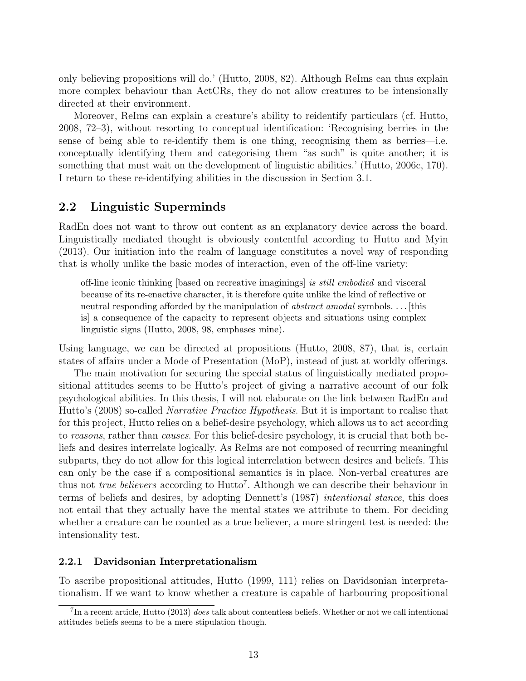only believing propositions will do.' (Hutto, 2008, 82). Although ReIms can thus explain more complex behaviour than ActCRs, they do not allow creatures to be intensionally directed at their environment.

Moreover, ReIms can explain a creature's ability to reidentify particulars (cf. Hutto, 2008, 72–3), without resorting to conceptual identification: 'Recognising berries in the sense of being able to re-identify them is one thing, recognising them as berries—i.e. conceptually identifying them and categorising them "as such" is quite another; it is something that must wait on the development of linguistic abilities.' (Hutto, 2006c, 170). I return to these re-identifying abilities in the discussion in Section 3.1.

## 2.2 Linguistic Superminds

RadEn does not want to throw out content as an explanatory device across the board. Linguistically mediated thought is obviously contentful according to Hutto and Myin (2013). Our initiation into the realm of language constitutes a novel way of responding that is wholly unlike the basic modes of interaction, even of the off-line variety:

off-line iconic thinking [based on recreative imaginings] is still embodied and visceral because of its re-enactive character, it is therefore quite unlike the kind of reflective or neutral responding afforded by the manipulation of *abstract amodal* symbols. . . . [this is] a consequence of the capacity to represent objects and situations using complex linguistic signs (Hutto, 2008, 98, emphases mine).

Using language, we can be directed at propositions (Hutto, 2008, 87), that is, certain states of affairs under a Mode of Presentation (MoP), instead of just at worldly offerings.

The main motivation for securing the special status of linguistically mediated propositional attitudes seems to be Hutto's project of giving a narrative account of our folk psychological abilities. In this thesis, I will not elaborate on the link between RadEn and Hutto's (2008) so-called Narrative Practice Hypothesis. But it is important to realise that for this project, Hutto relies on a belief-desire psychology, which allows us to act according to reasons, rather than causes. For this belief-desire psychology, it is crucial that both beliefs and desires interrelate logically. As ReIms are not composed of recurring meaningful subparts, they do not allow for this logical interrelation between desires and beliefs. This can only be the case if a compositional semantics is in place. Non-verbal creatures are thus not *true believers* according to  $Hutto^7$ . Although we can describe their behaviour in terms of beliefs and desires, by adopting Dennett's (1987) intentional stance, this does not entail that they actually have the mental states we attribute to them. For deciding whether a creature can be counted as a true believer, a more stringent test is needed: the intensionality test.

#### 2.2.1 Davidsonian Interpretationalism

To ascribe propositional attitudes, Hutto (1999, 111) relies on Davidsonian interpretationalism. If we want to know whether a creature is capable of harbouring propositional

 $^{7}$ In a recent article, Hutto (2013) does talk about contentless beliefs. Whether or not we call intentional attitudes beliefs seems to be a mere stipulation though.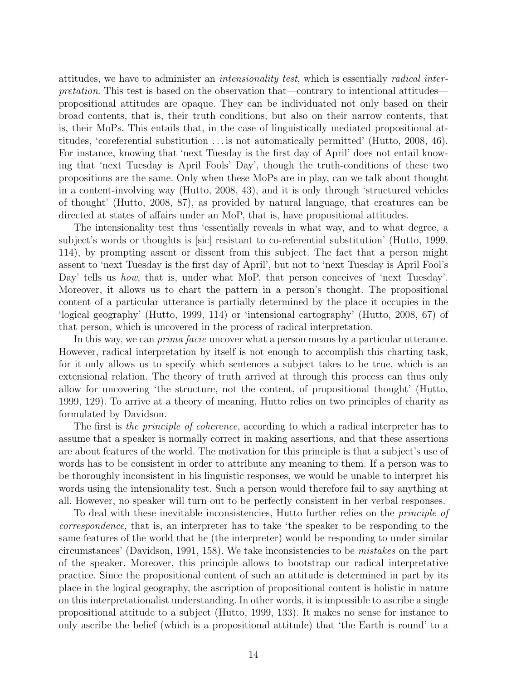attitudes, we have to administer an intensionality test, which is essentially radical interpretation. This test is based on the observation that—contrary to intentional attitudes propositional attitudes are opaque. They can be individuated not only based on their broad contents, that is, their truth conditions, but also on their narrow contents, that is, their MoPs. This entails that, in the case of linguistically mediated propositional attitudes, 'coreferential substitution . . . is not automatically permitted' (Hutto, 2008, 46). For instance, knowing that 'next Tuesday is the first day of April' does not entail knowing that 'next Tuesday is April Fools' Day', though the truth-conditions of these two propositions are the same. Only when these MoPs are in play, can we talk about thought in a content-involving way (Hutto, 2008, 43), and it is only through 'structured vehicles of thought' (Hutto, 2008, 87), as provided by natural language, that creatures can be directed at states of affairs under an MoP, that is, have propositional attitudes.

The intensionality test thus 'essentially reveals in what way, and to what degree, a subject's words or thoughts is [sic] resistant to co-referential substitution' (Hutto, 1999, 114), by prompting assent or dissent from this subject. The fact that a person might assent to 'next Tuesday is the first day of April', but not to 'next Tuesday is April Fool's Day' tells us *how*, that is, under what MoP, that person conceives of 'next Tuesday'. Moreover, it allows us to chart the pattern in a person's thought. The propositional content of a particular utterance is partially determined by the place it occupies in the 'logical geography' (Hutto, 1999, 114) or 'intensional cartography' (Hutto, 2008, 67) of that person, which is uncovered in the process of radical interpretation.

In this way, we can *prima facie* uncover what a person means by a particular utterance. However, radical interpretation by itself is not enough to accomplish this charting task, for it only allows us to specify which sentences a subject takes to be true, which is an extensional relation. The theory of truth arrived at through this process can thus only allow for uncovering 'the structure, not the content, of propositional thought' (Hutto, 1999, 129). To arrive at a theory of meaning, Hutto relies on two principles of charity as formulated by Davidson.

The first is the principle of coherence, according to which a radical interpreter has to assume that a speaker is normally correct in making assertions, and that these assertions are about features of the world. The motivation for this principle is that a subject's use of words has to be consistent in order to attribute any meaning to them. If a person was to be thoroughly inconsistent in his linguistic responses, we would be unable to interpret his words using the intensionality test. Such a person would therefore fail to say anything at all. However, no speaker will turn out to be perfectly consistent in her verbal responses.

To deal with these inevitable inconsistencies, Hutto further relies on the *principle of* correspondence, that is, an interpreter has to take 'the speaker to be responding to the same features of the world that he (the interpreter) would be responding to under similar circumstances' (Davidson, 1991, 158). We take inconsistencies to be mistakes on the part of the speaker. Moreover, this principle allows to bootstrap our radical interpretative practice. Since the propositional content of such an attitude is determined in part by its place in the logical geography, the ascription of propositional content is holistic in nature on this interpretationalist understanding. In other words, it is impossible to ascribe a single propositional attitude to a subject (Hutto, 1999, 133). It makes no sense for instance to only ascribe the belief (which is a propositional attitude) that 'the Earth is round' to a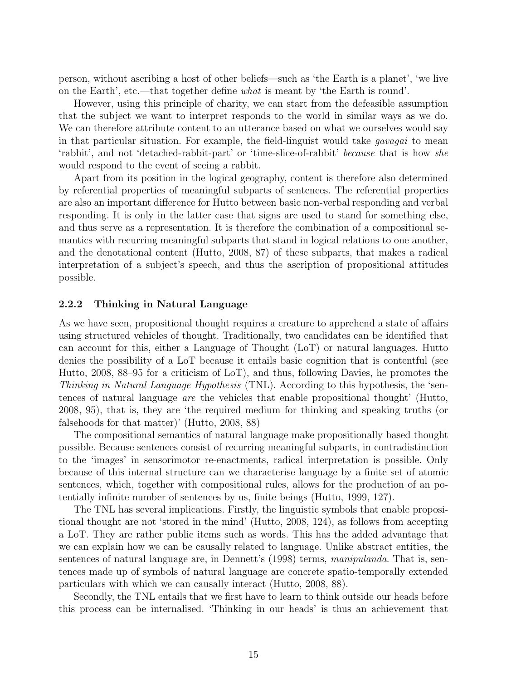person, without ascribing a host of other beliefs—such as 'the Earth is a planet', 'we live on the Earth', etc.—that together define what is meant by 'the Earth is round'.

However, using this principle of charity, we can start from the defeasible assumption that the subject we want to interpret responds to the world in similar ways as we do. We can therefore attribute content to an utterance based on what we ourselves would say in that particular situation. For example, the field-linguist would take gavagai to mean 'rabbit', and not 'detached-rabbit-part' or 'time-slice-of-rabbit' because that is how she would respond to the event of seeing a rabbit.

Apart from its position in the logical geography, content is therefore also determined by referential properties of meaningful subparts of sentences. The referential properties are also an important difference for Hutto between basic non-verbal responding and verbal responding. It is only in the latter case that signs are used to stand for something else, and thus serve as a representation. It is therefore the combination of a compositional semantics with recurring meaningful subparts that stand in logical relations to one another, and the denotational content (Hutto, 2008, 87) of these subparts, that makes a radical interpretation of a subject's speech, and thus the ascription of propositional attitudes possible.

#### 2.2.2 Thinking in Natural Language

As we have seen, propositional thought requires a creature to apprehend a state of affairs using structured vehicles of thought. Traditionally, two candidates can be identified that can account for this, either a Language of Thought (LoT) or natural languages. Hutto denies the possibility of a LoT because it entails basic cognition that is contentful (see Hutto, 2008, 88–95 for a criticism of LoT), and thus, following Davies, he promotes the Thinking in Natural Language Hypothesis (TNL). According to this hypothesis, the 'sentences of natural language are the vehicles that enable propositional thought' (Hutto, 2008, 95), that is, they are 'the required medium for thinking and speaking truths (or falsehoods for that matter)' (Hutto, 2008, 88)

The compositional semantics of natural language make propositionally based thought possible. Because sentences consist of recurring meaningful subparts, in contradistinction to the 'images' in sensorimotor re-enactments, radical interpretation is possible. Only because of this internal structure can we characterise language by a finite set of atomic sentences, which, together with compositional rules, allows for the production of an potentially infinite number of sentences by us, finite beings (Hutto, 1999, 127).

The TNL has several implications. Firstly, the linguistic symbols that enable propositional thought are not 'stored in the mind' (Hutto, 2008, 124), as follows from accepting a LoT. They are rather public items such as words. This has the added advantage that we can explain how we can be causally related to language. Unlike abstract entities, the sentences of natural language are, in Dennett's (1998) terms, manipulanda. That is, sentences made up of symbols of natural language are concrete spatio-temporally extended particulars with which we can causally interact (Hutto, 2008, 88).

Secondly, the TNL entails that we first have to learn to think outside our heads before this process can be internalised. 'Thinking in our heads' is thus an achievement that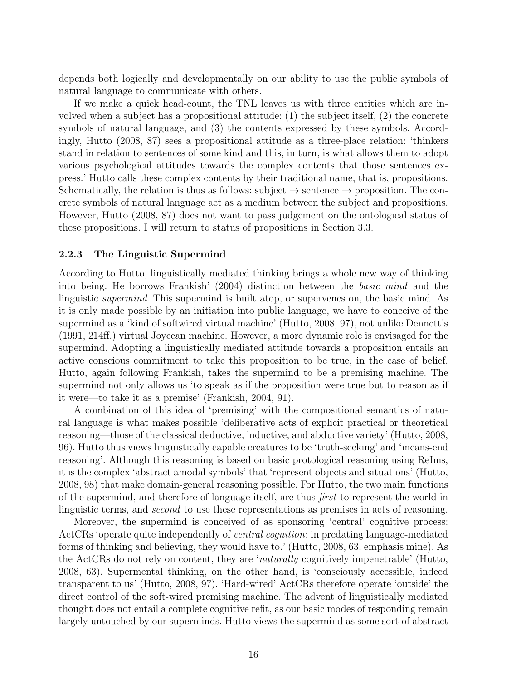depends both logically and developmentally on our ability to use the public symbols of natural language to communicate with others.

If we make a quick head-count, the TNL leaves us with three entities which are involved when a subject has a propositional attitude: (1) the subject itself, (2) the concrete symbols of natural language, and (3) the contents expressed by these symbols. Accordingly, Hutto (2008, 87) sees a propositional attitude as a three-place relation: 'thinkers stand in relation to sentences of some kind and this, in turn, is what allows them to adopt various psychological attitudes towards the complex contents that those sentences express.' Hutto calls these complex contents by their traditional name, that is, propositions. Schematically, the relation is thus as follows: subject  $\rightarrow$  sentence  $\rightarrow$  proposition. The concrete symbols of natural language act as a medium between the subject and propositions. However, Hutto (2008, 87) does not want to pass judgement on the ontological status of these propositions. I will return to status of propositions in Section 3.3.

#### 2.2.3 The Linguistic Supermind

According to Hutto, linguistically mediated thinking brings a whole new way of thinking into being. He borrows Frankish' (2004) distinction between the basic mind and the linguistic supermind. This supermind is built atop, or supervenes on, the basic mind. As it is only made possible by an initiation into public language, we have to conceive of the supermind as a 'kind of softwired virtual machine' (Hutto, 2008, 97), not unlike Dennett's (1991, 214ff.) virtual Joycean machine. However, a more dynamic role is envisaged for the supermind. Adopting a linguistically mediated attitude towards a proposition entails an active conscious commitment to take this proposition to be true, in the case of belief. Hutto, again following Frankish, takes the supermind to be a premising machine. The supermind not only allows us 'to speak as if the proposition were true but to reason as if it were—to take it as a premise' (Frankish, 2004, 91).

A combination of this idea of 'premising' with the compositional semantics of natural language is what makes possible 'deliberative acts of explicit practical or theoretical reasoning—those of the classical deductive, inductive, and abductive variety' (Hutto, 2008, 96). Hutto thus views linguistically capable creatures to be 'truth-seeking' and 'means-end reasoning'. Although this reasoning is based on basic protological reasoning using ReIms, it is the complex 'abstract amodal symbols' that 'represent objects and situations' (Hutto, 2008, 98) that make domain-general reasoning possible. For Hutto, the two main functions of the supermind, and therefore of language itself, are thus first to represent the world in linguistic terms, and second to use these representations as premises in acts of reasoning.

Moreover, the supermind is conceived of as sponsoring 'central' cognitive process: ActCRs 'operate quite independently of central cognition: in predating language-mediated forms of thinking and believing, they would have to.' (Hutto, 2008, 63, emphasis mine). As the ActCRs do not rely on content, they are 'naturally cognitively impenetrable' (Hutto, 2008, 63). Supermental thinking, on the other hand, is 'consciously accessible, indeed transparent to us' (Hutto, 2008, 97). 'Hard-wired' ActCRs therefore operate 'outside' the direct control of the soft-wired premising machine. The advent of linguistically mediated thought does not entail a complete cognitive refit, as our basic modes of responding remain largely untouched by our superminds. Hutto views the supermind as some sort of abstract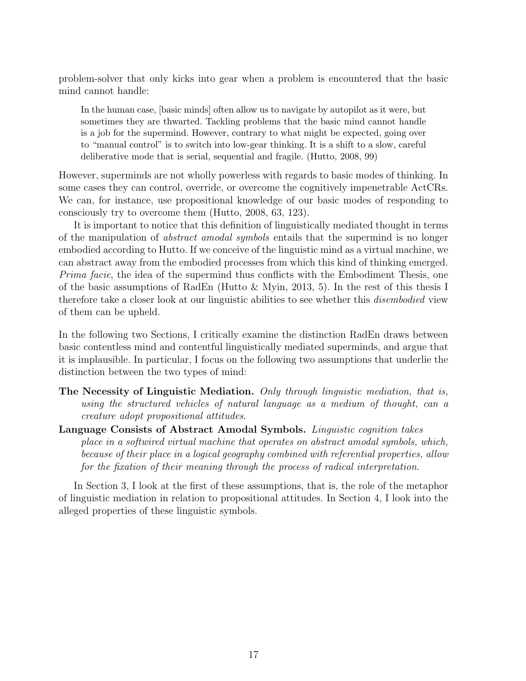problem-solver that only kicks into gear when a problem is encountered that the basic mind cannot handle:

In the human case, [basic minds] often allow us to navigate by autopilot as it were, but sometimes they are thwarted. Tackling problems that the basic mind cannot handle is a job for the supermind. However, contrary to what might be expected, going over to "manual control" is to switch into low-gear thinking. It is a shift to a slow, careful deliberative mode that is serial, sequential and fragile. (Hutto, 2008, 99)

However, superminds are not wholly powerless with regards to basic modes of thinking. In some cases they can control, override, or overcome the cognitively impenetrable ActCRs. We can, for instance, use propositional knowledge of our basic modes of responding to consciously try to overcome them (Hutto, 2008, 63, 123).

It is important to notice that this definition of linguistically mediated thought in terms of the manipulation of abstract amodal symbols entails that the supermind is no longer embodied according to Hutto. If we conceive of the linguistic mind as a virtual machine, we can abstract away from the embodied processes from which this kind of thinking emerged. *Prima facie*, the idea of the supermind thus conflicts with the Embodiment Thesis, one of the basic assumptions of RadEn (Hutto & Myin, 2013, 5). In the rest of this thesis I therefore take a closer look at our linguistic abilities to see whether this disembodied view of them can be upheld.

In the following two Sections, I critically examine the distinction RadEn draws between basic contentless mind and contentful linguistically mediated superminds, and argue that it is implausible. In particular, I focus on the following two assumptions that underlie the distinction between the two types of mind:

- The Necessity of Linguistic Mediation. Only through linguistic mediation, that is, using the structured vehicles of natural language as a medium of thought, can a creature adopt propositional attitudes.
- Language Consists of Abstract Amodal Symbols. Linguistic cognition takes place in a softwired virtual machine that operates on abstract amodal symbols, which, because of their place in a logical geography combined with referential properties, allow for the fixation of their meaning through the process of radical interpretation.

In Section 3, I look at the first of these assumptions, that is, the role of the metaphor of linguistic mediation in relation to propositional attitudes. In Section 4, I look into the alleged properties of these linguistic symbols.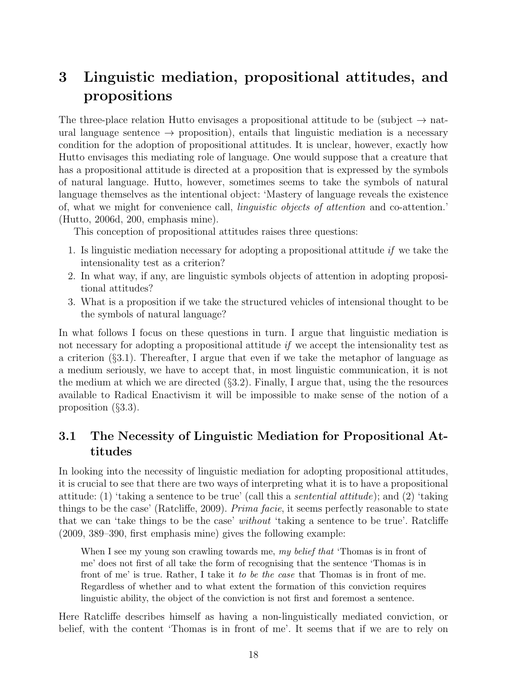# 3 Linguistic mediation, propositional attitudes, and propositions

The three-place relation Hutto envisages a propositional attitude to be (subject  $\rightarrow$  natural language sentence  $\rightarrow$  proposition), entails that linguistic mediation is a necessary condition for the adoption of propositional attitudes. It is unclear, however, exactly how Hutto envisages this mediating role of language. One would suppose that a creature that has a propositional attitude is directed at a proposition that is expressed by the symbols of natural language. Hutto, however, sometimes seems to take the symbols of natural language themselves as the intentional object: 'Mastery of language reveals the existence of, what we might for convenience call, linguistic objects of attention and co-attention.' (Hutto, 2006d, 200, emphasis mine).

This conception of propositional attitudes raises three questions:

- 1. Is linguistic mediation necessary for adopting a propositional attitude  $if$  we take the intensionality test as a criterion?
- 2. In what way, if any, are linguistic symbols objects of attention in adopting propositional attitudes?
- 3. What is a proposition if we take the structured vehicles of intensional thought to be the symbols of natural language?

In what follows I focus on these questions in turn. I argue that linguistic mediation is not necessary for adopting a propositional attitude *if* we accept the intensionality test as a criterion (§3.1). Thereafter, I argue that even if we take the metaphor of language as a medium seriously, we have to accept that, in most linguistic communication, it is not the medium at which we are directed (§3.2). Finally, I argue that, using the the resources available to Radical Enactivism it will be impossible to make sense of the notion of a proposition (§3.3).

# 3.1 The Necessity of Linguistic Mediation for Propositional Attitudes

In looking into the necessity of linguistic mediation for adopting propositional attitudes, it is crucial to see that there are two ways of interpreting what it is to have a propositional attitude: (1) 'taking a sentence to be true' (call this a sentential attitude); and (2) 'taking things to be the case' (Ratcliffe, 2009). Prima facie, it seems perfectly reasonable to state that we can 'take things to be the case' without 'taking a sentence to be true'. Ratcliffe (2009, 389–390, first emphasis mine) gives the following example:

When I see my young son crawling towards me, my belief that 'Thomas is in front of me' does not first of all take the form of recognising that the sentence 'Thomas is in front of me' is true. Rather, I take it to be the case that Thomas is in front of me. Regardless of whether and to what extent the formation of this conviction requires linguistic ability, the object of the conviction is not first and foremost a sentence.

Here Ratcliffe describes himself as having a non-linguistically mediated conviction, or belief, with the content 'Thomas is in front of me'. It seems that if we are to rely on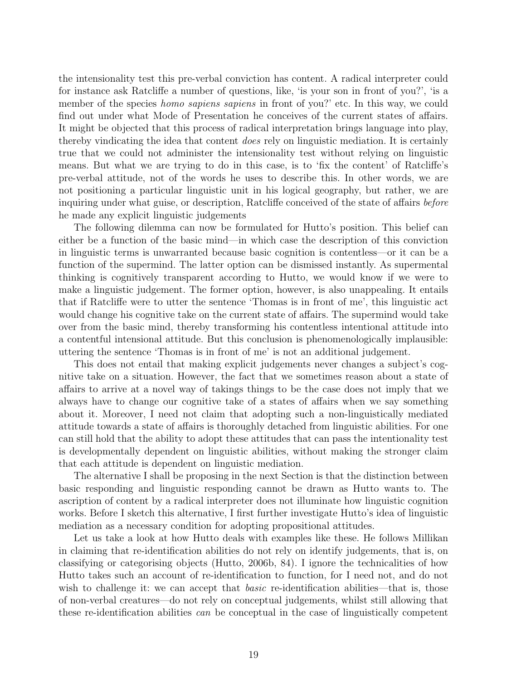the intensionality test this pre-verbal conviction has content. A radical interpreter could for instance ask Ratcliffe a number of questions, like, 'is your son in front of you?', 'is a member of the species *homo sapiens sapiens* in front of you?' etc. In this way, we could find out under what Mode of Presentation he conceives of the current states of affairs. It might be objected that this process of radical interpretation brings language into play, thereby vindicating the idea that content does rely on linguistic mediation. It is certainly true that we could not administer the intensionality test without relying on linguistic means. But what we are trying to do in this case, is to 'fix the content' of Ratcliffe's pre-verbal attitude, not of the words he uses to describe this. In other words, we are not positioning a particular linguistic unit in his logical geography, but rather, we are inquiring under what guise, or description, Ratcliffe conceived of the state of affairs before he made any explicit linguistic judgements

The following dilemma can now be formulated for Hutto's position. This belief can either be a function of the basic mind—in which case the description of this conviction in linguistic terms is unwarranted because basic cognition is contentless—or it can be a function of the supermind. The latter option can be dismissed instantly. As supermental thinking is cognitively transparent according to Hutto, we would know if we were to make a linguistic judgement. The former option, however, is also unappealing. It entails that if Ratcliffe were to utter the sentence 'Thomas is in front of me', this linguistic act would change his cognitive take on the current state of affairs. The supermind would take over from the basic mind, thereby transforming his contentless intentional attitude into a contentful intensional attitude. But this conclusion is phenomenologically implausible: uttering the sentence 'Thomas is in front of me' is not an additional judgement.

This does not entail that making explicit judgements never changes a subject's cognitive take on a situation. However, the fact that we sometimes reason about a state of affairs to arrive at a novel way of takings things to be the case does not imply that we always have to change our cognitive take of a states of affairs when we say something about it. Moreover, I need not claim that adopting such a non-linguistically mediated attitude towards a state of affairs is thoroughly detached from linguistic abilities. For one can still hold that the ability to adopt these attitudes that can pass the intentionality test is developmentally dependent on linguistic abilities, without making the stronger claim that each attitude is dependent on linguistic mediation.

The alternative I shall be proposing in the next Section is that the distinction between basic responding and linguistic responding cannot be drawn as Hutto wants to. The ascription of content by a radical interpreter does not illuminate how linguistic cognition works. Before I sketch this alternative, I first further investigate Hutto's idea of linguistic mediation as a necessary condition for adopting propositional attitudes.

Let us take a look at how Hutto deals with examples like these. He follows Millikan in claiming that re-identification abilities do not rely on identify judgements, that is, on classifying or categorising objects (Hutto, 2006b, 84). I ignore the technicalities of how Hutto takes such an account of re-identification to function, for I need not, and do not wish to challenge it: we can accept that *basic* re-identification abilities—that is, those of non-verbal creatures—do not rely on conceptual judgements, whilst still allowing that these re-identification abilities can be conceptual in the case of linguistically competent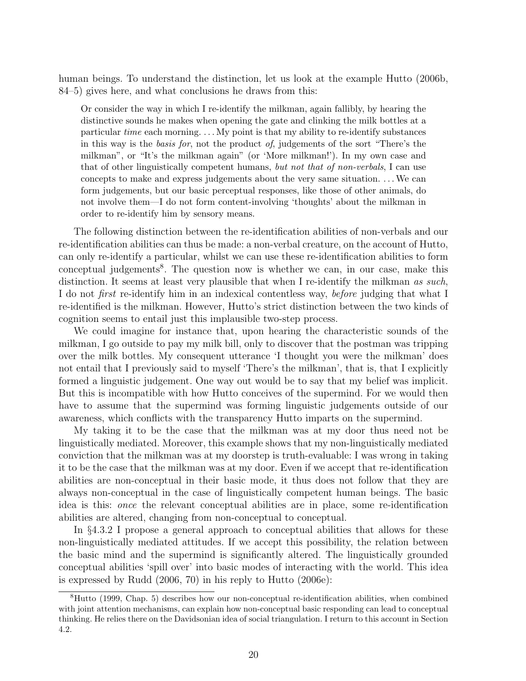human beings. To understand the distinction, let us look at the example Hutto (2006b, 84–5) gives here, and what conclusions he draws from this:

Or consider the way in which I re-identify the milkman, again fallibly, by hearing the distinctive sounds he makes when opening the gate and clinking the milk bottles at a particular time each morning. . . . My point is that my ability to re-identify substances in this way is the basis for, not the product of, judgements of the sort "There's the milkman", or "It's the milkman again" (or 'More milkman!'). In my own case and that of other linguistically competent humans, but not that of non-verbals, I can use concepts to make and express judgements about the very same situation. . . .We can form judgements, but our basic perceptual responses, like those of other animals, do not involve them—I do not form content-involving 'thoughts' about the milkman in order to re-identify him by sensory means.

The following distinction between the re-identification abilities of non-verbals and our re-identification abilities can thus be made: a non-verbal creature, on the account of Hutto, can only re-identify a particular, whilst we can use these re-identification abilities to form conceptual judgements<sup>8</sup>. The question now is whether we can, in our case, make this distinction. It seems at least very plausible that when I re-identify the milkman as such, I do not *first* re-identify him in an indexical contentless way, *before* judging that what I re-identified is the milkman. However, Hutto's strict distinction between the two kinds of cognition seems to entail just this implausible two-step process.

We could imagine for instance that, upon hearing the characteristic sounds of the milkman, I go outside to pay my milk bill, only to discover that the postman was tripping over the milk bottles. My consequent utterance 'I thought you were the milkman' does not entail that I previously said to myself 'There's the milkman', that is, that I explicitly formed a linguistic judgement. One way out would be to say that my belief was implicit. But this is incompatible with how Hutto conceives of the supermind. For we would then have to assume that the supermind was forming linguistic judgements outside of our awareness, which conflicts with the transparency Hutto imparts on the supermind.

My taking it to be the case that the milkman was at my door thus need not be linguistically mediated. Moreover, this example shows that my non-linguistically mediated conviction that the milkman was at my doorstep is truth-evaluable: I was wrong in taking it to be the case that the milkman was at my door. Even if we accept that re-identification abilities are non-conceptual in their basic mode, it thus does not follow that they are always non-conceptual in the case of linguistically competent human beings. The basic idea is this: once the relevant conceptual abilities are in place, some re-identification abilities are altered, changing from non-conceptual to conceptual.

In §4.3.2 I propose a general approach to conceptual abilities that allows for these non-linguistically mediated attitudes. If we accept this possibility, the relation between the basic mind and the supermind is significantly altered. The linguistically grounded conceptual abilities 'spill over' into basic modes of interacting with the world. This idea is expressed by Rudd (2006, 70) in his reply to Hutto (2006e):

<sup>8</sup>Hutto (1999, Chap. 5) describes how our non-conceptual re-identification abilities, when combined with joint attention mechanisms, can explain how non-conceptual basic responding can lead to conceptual thinking. He relies there on the Davidsonian idea of social triangulation. I return to this account in Section 4.2.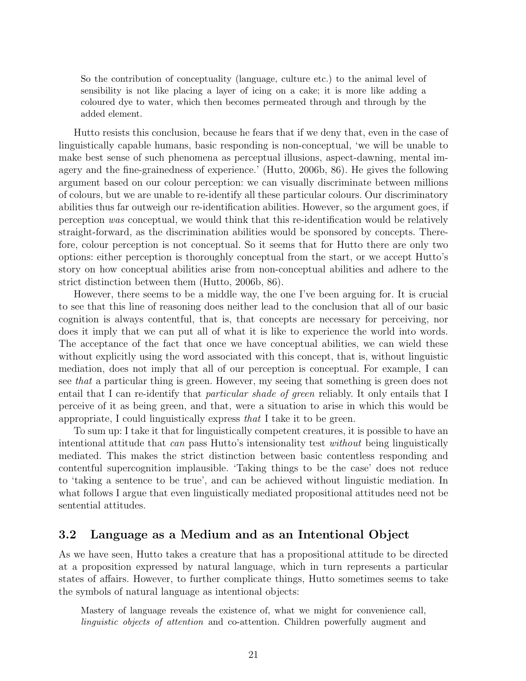So the contribution of conceptuality (language, culture etc.) to the animal level of sensibility is not like placing a layer of icing on a cake; it is more like adding a coloured dye to water, which then becomes permeated through and through by the added element.

Hutto resists this conclusion, because he fears that if we deny that, even in the case of linguistically capable humans, basic responding is non-conceptual, 'we will be unable to make best sense of such phenomena as perceptual illusions, aspect-dawning, mental imagery and the fine-grainedness of experience.' (Hutto, 2006b, 86). He gives the following argument based on our colour perception: we can visually discriminate between millions of colours, but we are unable to re-identify all these particular colours. Our discriminatory abilities thus far outweigh our re-identification abilities. However, so the argument goes, if perception was conceptual, we would think that this re-identification would be relatively straight-forward, as the discrimination abilities would be sponsored by concepts. Therefore, colour perception is not conceptual. So it seems that for Hutto there are only two options: either perception is thoroughly conceptual from the start, or we accept Hutto's story on how conceptual abilities arise from non-conceptual abilities and adhere to the strict distinction between them (Hutto, 2006b, 86).

However, there seems to be a middle way, the one I've been arguing for. It is crucial to see that this line of reasoning does neither lead to the conclusion that all of our basic cognition is always contentful, that is, that concepts are necessary for perceiving, nor does it imply that we can put all of what it is like to experience the world into words. The acceptance of the fact that once we have conceptual abilities, we can wield these without explicitly using the word associated with this concept, that is, without linguistic mediation, does not imply that all of our perception is conceptual. For example, I can see that a particular thing is green. However, my seeing that something is green does not entail that I can re-identify that particular shade of green reliably. It only entails that I perceive of it as being green, and that, were a situation to arise in which this would be appropriate, I could linguistically express that I take it to be green.

To sum up: I take it that for linguistically competent creatures, it is possible to have an intentional attitude that *can* pass Hutto's intensionality test *without* being linguistically mediated. This makes the strict distinction between basic contentless responding and contentful supercognition implausible. 'Taking things to be the case' does not reduce to 'taking a sentence to be true', and can be achieved without linguistic mediation. In what follows I argue that even linguistically mediated propositional attitudes need not be sentential attitudes.

## 3.2 Language as a Medium and as an Intentional Object

As we have seen, Hutto takes a creature that has a propositional attitude to be directed at a proposition expressed by natural language, which in turn represents a particular states of affairs. However, to further complicate things, Hutto sometimes seems to take the symbols of natural language as intentional objects:

Mastery of language reveals the existence of, what we might for convenience call, linguistic objects of attention and co-attention. Children powerfully augment and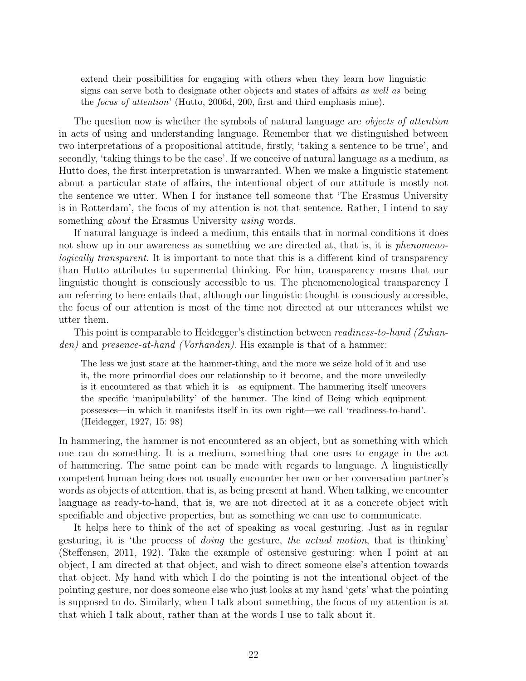extend their possibilities for engaging with others when they learn how linguistic signs can serve both to designate other objects and states of affairs as well as being the focus of attention' (Hutto, 2006d, 200, first and third emphasis mine).

The question now is whether the symbols of natural language are *objects of attention* in acts of using and understanding language. Remember that we distinguished between two interpretations of a propositional attitude, firstly, 'taking a sentence to be true', and secondly, 'taking things to be the case'. If we conceive of natural language as a medium, as Hutto does, the first interpretation is unwarranted. When we make a linguistic statement about a particular state of affairs, the intentional object of our attitude is mostly not the sentence we utter. When I for instance tell someone that 'The Erasmus University is in Rotterdam', the focus of my attention is not that sentence. Rather, I intend to say something *about* the Erasmus University *using* words.

If natural language is indeed a medium, this entails that in normal conditions it does not show up in our awareness as something we are directed at, that is, it is *phenomeno*logically transparent. It is important to note that this is a different kind of transparency than Hutto attributes to supermental thinking. For him, transparency means that our linguistic thought is consciously accessible to us. The phenomenological transparency I am referring to here entails that, although our linguistic thought is consciously accessible, the focus of our attention is most of the time not directed at our utterances whilst we utter them.

This point is comparable to Heidegger's distinction between readiness-to-hand (Zuhanden) and presence-at-hand (Vorhanden). His example is that of a hammer:

The less we just stare at the hammer-thing, and the more we seize hold of it and use it, the more primordial does our relationship to it become, and the more unveiledly is it encountered as that which it is—as equipment. The hammering itself uncovers the specific 'manipulability' of the hammer. The kind of Being which equipment possesses—in which it manifests itself in its own right—we call 'readiness-to-hand'. (Heidegger, 1927, 15: 98)

In hammering, the hammer is not encountered as an object, but as something with which one can do something. It is a medium, something that one uses to engage in the act of hammering. The same point can be made with regards to language. A linguistically competent human being does not usually encounter her own or her conversation partner's words as objects of attention, that is, as being present at hand. When talking, we encounter language as ready-to-hand, that is, we are not directed at it as a concrete object with specifiable and objective properties, but as something we can use to communicate.

It helps here to think of the act of speaking as vocal gesturing. Just as in regular gesturing, it is 'the process of doing the gesture, the actual motion, that is thinking' (Steffensen, 2011, 192). Take the example of ostensive gesturing: when I point at an object, I am directed at that object, and wish to direct someone else's attention towards that object. My hand with which I do the pointing is not the intentional object of the pointing gesture, nor does someone else who just looks at my hand 'gets' what the pointing is supposed to do. Similarly, when I talk about something, the focus of my attention is at that which I talk about, rather than at the words I use to talk about it.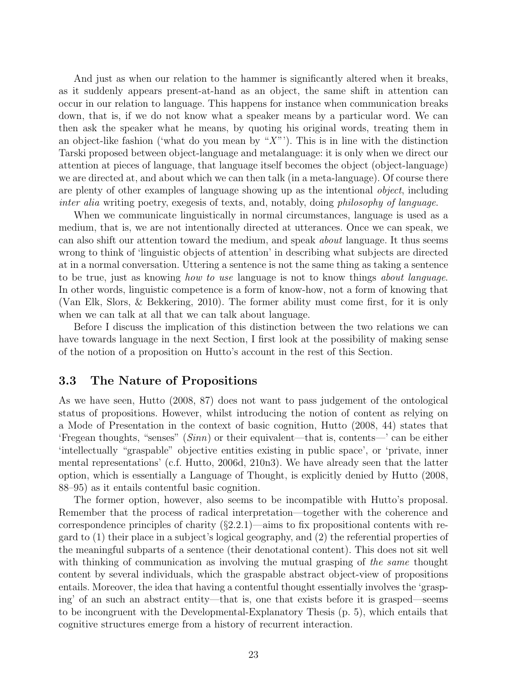And just as when our relation to the hammer is significantly altered when it breaks, as it suddenly appears present-at-hand as an object, the same shift in attention can occur in our relation to language. This happens for instance when communication breaks down, that is, if we do not know what a speaker means by a particular word. We can then ask the speaker what he means, by quoting his original words, treating them in an object-like fashion ('what do you mean by " $X$ "'). This is in line with the distinction Tarski proposed between object-language and metalanguage: it is only when we direct our attention at pieces of language, that language itself becomes the object (object-language) we are directed at, and about which we can then talk (in a meta-language). Of course there are plenty of other examples of language showing up as the intentional object, including inter alia writing poetry, exegesis of texts, and, notably, doing philosophy of language.

When we communicate linguistically in normal circumstances, language is used as a medium, that is, we are not intentionally directed at utterances. Once we can speak, we can also shift our attention toward the medium, and speak about language. It thus seems wrong to think of 'linguistic objects of attention' in describing what subjects are directed at in a normal conversation. Uttering a sentence is not the same thing as taking a sentence to be true, just as knowing how to use language is not to know things about language. In other words, linguistic competence is a form of know-how, not a form of knowing that (Van Elk, Slors, & Bekkering, 2010). The former ability must come first, for it is only when we can talk at all that we can talk about language.

Before I discuss the implication of this distinction between the two relations we can have towards language in the next Section, I first look at the possibility of making sense of the notion of a proposition on Hutto's account in the rest of this Section.

## 3.3 The Nature of Propositions

As we have seen, Hutto (2008, 87) does not want to pass judgement of the ontological status of propositions. However, whilst introducing the notion of content as relying on a Mode of Presentation in the context of basic cognition, Hutto (2008, 44) states that 'Fregean thoughts, "senses" ( $Sinn$ ) or their equivalent—that is, contents—' can be either 'intellectually "graspable" objective entities existing in public space', or 'private, inner mental representations' (c.f. Hutto, 2006d, 210n3). We have already seen that the latter option, which is essentially a Language of Thought, is explicitly denied by Hutto (2008, 88–95) as it entails contentful basic cognition.

The former option, however, also seems to be incompatible with Hutto's proposal. Remember that the process of radical interpretation—together with the coherence and correspondence principles of charity  $(\S2.2.1)$ —aims to fix propositional contents with regard to (1) their place in a subject's logical geography, and (2) the referential properties of the meaningful subparts of a sentence (their denotational content). This does not sit well with thinking of communication as involving the mutual grasping of the same thought content by several individuals, which the graspable abstract object-view of propositions entails. Moreover, the idea that having a contentful thought essentially involves the 'grasping' of an such an abstract entity—that is, one that exists before it is grasped—seems to be incongruent with the Developmental-Explanatory Thesis (p. 5), which entails that cognitive structures emerge from a history of recurrent interaction.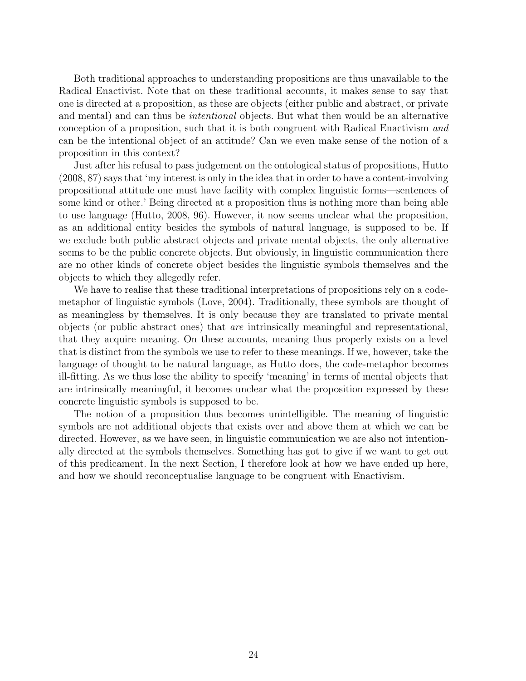Both traditional approaches to understanding propositions are thus unavailable to the Radical Enactivist. Note that on these traditional accounts, it makes sense to say that one is directed at a proposition, as these are objects (either public and abstract, or private and mental) and can thus be intentional objects. But what then would be an alternative conception of a proposition, such that it is both congruent with Radical Enactivism and can be the intentional object of an attitude? Can we even make sense of the notion of a proposition in this context?

Just after his refusal to pass judgement on the ontological status of propositions, Hutto (2008, 87) says that 'my interest is only in the idea that in order to have a content-involving propositional attitude one must have facility with complex linguistic forms—sentences of some kind or other.' Being directed at a proposition thus is nothing more than being able to use language (Hutto, 2008, 96). However, it now seems unclear what the proposition, as an additional entity besides the symbols of natural language, is supposed to be. If we exclude both public abstract objects and private mental objects, the only alternative seems to be the public concrete objects. But obviously, in linguistic communication there are no other kinds of concrete object besides the linguistic symbols themselves and the objects to which they allegedly refer.

We have to realise that these traditional interpretations of propositions rely on a codemetaphor of linguistic symbols (Love, 2004). Traditionally, these symbols are thought of as meaningless by themselves. It is only because they are translated to private mental objects (or public abstract ones) that are intrinsically meaningful and representational, that they acquire meaning. On these accounts, meaning thus properly exists on a level that is distinct from the symbols we use to refer to these meanings. If we, however, take the language of thought to be natural language, as Hutto does, the code-metaphor becomes ill-fitting. As we thus lose the ability to specify 'meaning' in terms of mental objects that are intrinsically meaningful, it becomes unclear what the proposition expressed by these concrete linguistic symbols is supposed to be.

The notion of a proposition thus becomes unintelligible. The meaning of linguistic symbols are not additional objects that exists over and above them at which we can be directed. However, as we have seen, in linguistic communication we are also not intentionally directed at the symbols themselves. Something has got to give if we want to get out of this predicament. In the next Section, I therefore look at how we have ended up here, and how we should reconceptualise language to be congruent with Enactivism.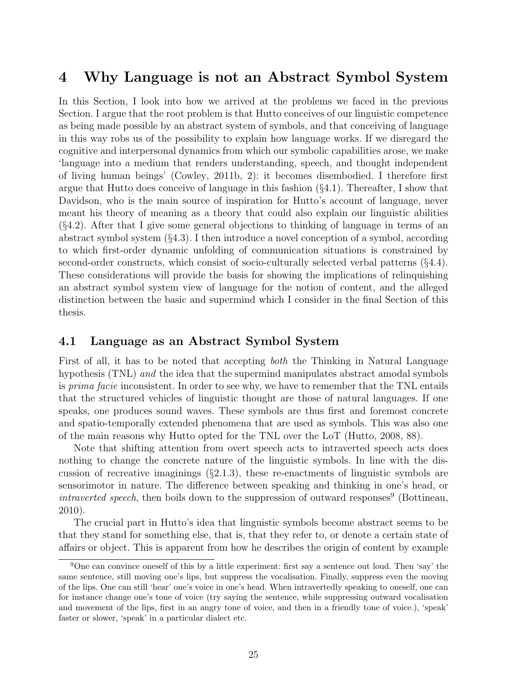# 4 Why Language is not an Abstract Symbol System

In this Section, I look into how we arrived at the problems we faced in the previous Section. I argue that the root problem is that Hutto conceives of our linguistic competence as being made possible by an abstract system of symbols, and that conceiving of language in this way robs us of the possibility to explain how language works. If we disregard the cognitive and interpersonal dynamics from which our symbolic capabilities arose, we make 'language into a medium that renders understanding, speech, and thought independent of living human beings' (Cowley, 2011b, 2): it becomes disembodied. I therefore first argue that Hutto does conceive of language in this fashion  $(\S 4.1)$ . Thereafter, I show that Davidson, who is the main source of inspiration for Hutto's account of language, never meant his theory of meaning as a theory that could also explain our linguistic abilities (§4.2). After that I give some general objections to thinking of language in terms of an abstract symbol system  $(§4.3)$ . I then introduce a novel conception of a symbol, according to which first-order dynamic unfolding of communication situations is constrained by second-order constructs, which consist of socio-culturally selected verbal patterns (§4.4). These considerations will provide the basis for showing the implications of relinquishing an abstract symbol system view of language for the notion of content, and the alleged distinction between the basic and supermind which I consider in the final Section of this thesis.

## 4.1 Language as an Abstract Symbol System

First of all, it has to be noted that accepting both the Thinking in Natural Language hypothesis (TNL) and the idea that the supermind manipulates abstract amodal symbols is *prima facie* inconsistent. In order to see why, we have to remember that the TNL entails that the structured vehicles of linguistic thought are those of natural languages. If one speaks, one produces sound waves. These symbols are thus first and foremost concrete and spatio-temporally extended phenomena that are used as symbols. This was also one of the main reasons why Hutto opted for the TNL over the LoT (Hutto, 2008, 88).

Note that shifting attention from overt speech acts to intraverted speech acts does nothing to change the concrete nature of the linguistic symbols. In line with the discussion of recreative imaginings  $(\S2.1.3)$ , these re-enactments of linguistic symbols are sensorimotor in nature. The difference between speaking and thinking in one's head, or intraverted speech, then boils down to the suppression of outward responses<sup>9</sup> (Bottineau, 2010).

The crucial part in Hutto's idea that linguistic symbols become abstract seems to be that they stand for something else, that is, that they refer to, or denote a certain state of affairs or object. This is apparent from how he describes the origin of content by example

<sup>9</sup>One can convince oneself of this by a little experiment: first say a sentence out loud. Then 'say' the same sentence, still moving one's lips, but suppress the vocalisation. Finally, suppress even the moving of the lips. One can still 'hear' one's voice in one's head. When intravertedly speaking to oneself, one can for instance change one's tone of voice (try saying the sentence, while suppressing outward vocalisation and movement of the lips, first in an angry tone of voice, and then in a friendly tone of voice.), 'speak' faster or slower, 'speak' in a particular dialect etc.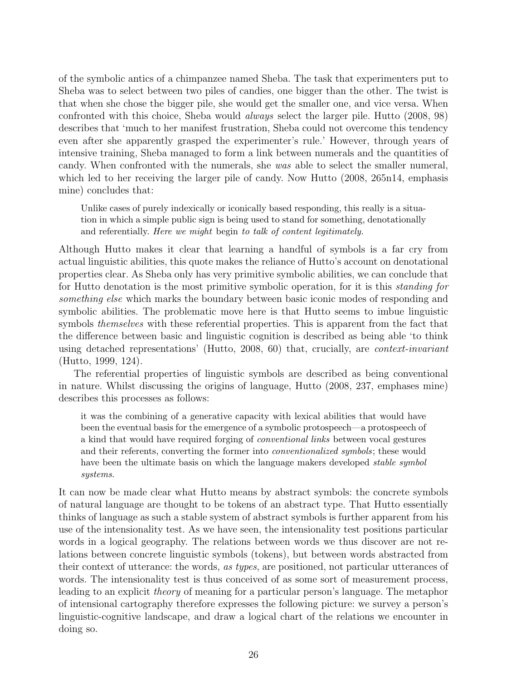of the symbolic antics of a chimpanzee named Sheba. The task that experimenters put to Sheba was to select between two piles of candies, one bigger than the other. The twist is that when she chose the bigger pile, she would get the smaller one, and vice versa. When confronted with this choice, Sheba would always select the larger pile. Hutto (2008, 98) describes that 'much to her manifest frustration, Sheba could not overcome this tendency even after she apparently grasped the experimenter's rule.' However, through years of intensive training, Sheba managed to form a link between numerals and the quantities of candy. When confronted with the numerals, she was able to select the smaller numeral, which led to her receiving the larger pile of candy. Now Hutto (2008, 265n14, emphasis mine) concludes that:

Unlike cases of purely indexically or iconically based responding, this really is a situation in which a simple public sign is being used to stand for something, denotationally and referentially. Here we might begin to talk of content legitimately.

Although Hutto makes it clear that learning a handful of symbols is a far cry from actual linguistic abilities, this quote makes the reliance of Hutto's account on denotational properties clear. As Sheba only has very primitive symbolic abilities, we can conclude that for Hutto denotation is the most primitive symbolic operation, for it is this standing for something else which marks the boundary between basic iconic modes of responding and symbolic abilities. The problematic move here is that Hutto seems to imbue linguistic symbols themselves with these referential properties. This is apparent from the fact that the difference between basic and linguistic cognition is described as being able 'to think using detached representations' (Hutto, 2008, 60) that, crucially, are context-invariant (Hutto, 1999, 124).

The referential properties of linguistic symbols are described as being conventional in nature. Whilst discussing the origins of language, Hutto (2008, 237, emphases mine) describes this processes as follows:

it was the combining of a generative capacity with lexical abilities that would have been the eventual basis for the emergence of a symbolic protospeech—a protospeech of a kind that would have required forging of conventional links between vocal gestures and their referents, converting the former into conventionalized symbols; these would have been the ultimate basis on which the language makers developed *stable symbol* systems.

It can now be made clear what Hutto means by abstract symbols: the concrete symbols of natural language are thought to be tokens of an abstract type. That Hutto essentially thinks of language as such a stable system of abstract symbols is further apparent from his use of the intensionality test. As we have seen, the intensionality test positions particular words in a logical geography. The relations between words we thus discover are not relations between concrete linguistic symbols (tokens), but between words abstracted from their context of utterance: the words, as types, are positioned, not particular utterances of words. The intensionality test is thus conceived of as some sort of measurement process, leading to an explicit theory of meaning for a particular person's language. The metaphor of intensional cartography therefore expresses the following picture: we survey a person's linguistic-cognitive landscape, and draw a logical chart of the relations we encounter in doing so.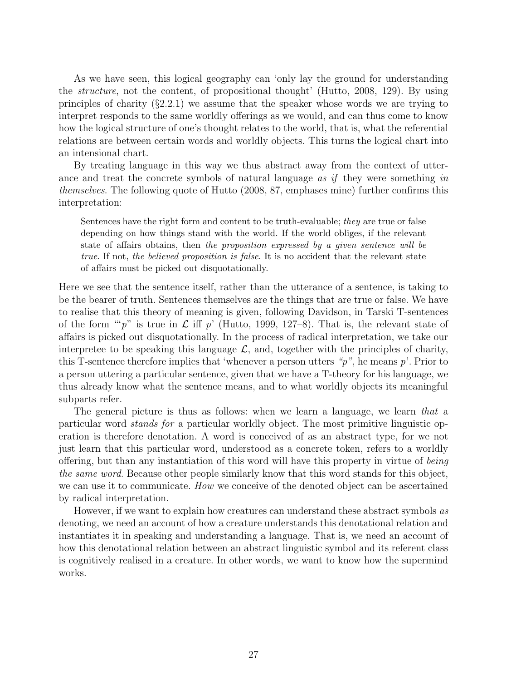As we have seen, this logical geography can 'only lay the ground for understanding the structure, not the content, of propositional thought' (Hutto, 2008, 129). By using principles of charity  $(\S2.2.1)$  we assume that the speaker whose words we are trying to interpret responds to the same worldly offerings as we would, and can thus come to know how the logical structure of one's thought relates to the world, that is, what the referential relations are between certain words and worldly objects. This turns the logical chart into an intensional chart.

By treating language in this way we thus abstract away from the context of utterance and treat the concrete symbols of natural language as if they were something in themselves. The following quote of Hutto (2008, 87, emphases mine) further confirms this interpretation:

Sentences have the right form and content to be truth-evaluable; they are true or false depending on how things stand with the world. If the world obliges, if the relevant state of affairs obtains, then the proposition expressed by a given sentence will be true. If not, the believed proposition is false. It is no accident that the relevant state of affairs must be picked out disquotationally.

Here we see that the sentence itself, rather than the utterance of a sentence, is taking to be the bearer of truth. Sentences themselves are the things that are true or false. We have to realise that this theory of meaning is given, following Davidson, in Tarski T-sentences of the form ""p" is true in  $\mathcal L$  iff p' (Hutto, 1999, 127–8). That is, the relevant state of affairs is picked out disquotationally. In the process of radical interpretation, we take our interpretee to be speaking this language  $\mathcal{L}$ , and, together with the principles of charity, this T-sentence therefore implies that 'whenever a person utters " $p$ ", he means  $p$ ". Prior to a person uttering a particular sentence, given that we have a T-theory for his language, we thus already know what the sentence means, and to what worldly objects its meaningful subparts refer.

The general picture is thus as follows: when we learn a language, we learn that a particular word stands for a particular worldly object. The most primitive linguistic operation is therefore denotation. A word is conceived of as an abstract type, for we not just learn that this particular word, understood as a concrete token, refers to a worldly offering, but than any instantiation of this word will have this property in virtue of being the same word. Because other people similarly know that this word stands for this object, we can use it to communicate. How we conceive of the denoted object can be ascertained by radical interpretation.

However, if we want to explain how creatures can understand these abstract symbols as denoting, we need an account of how a creature understands this denotational relation and instantiates it in speaking and understanding a language. That is, we need an account of how this denotational relation between an abstract linguistic symbol and its referent class is cognitively realised in a creature. In other words, we want to know how the supermind works.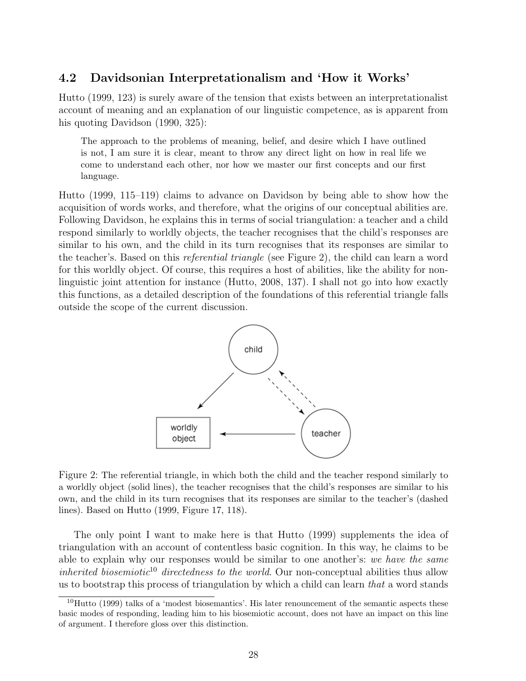## 4.2 Davidsonian Interpretationalism and 'How it Works'

Hutto (1999, 123) is surely aware of the tension that exists between an interpretationalist account of meaning and an explanation of our linguistic competence, as is apparent from his quoting Davidson (1990, 325):

The approach to the problems of meaning, belief, and desire which I have outlined is not, I am sure it is clear, meant to throw any direct light on how in real life we come to understand each other, nor how we master our first concepts and our first language.

Hutto (1999, 115–119) claims to advance on Davidson by being able to show how the acquisition of words works, and therefore, what the origins of our conceptual abilities are. Following Davidson, he explains this in terms of social triangulation: a teacher and a child respond similarly to worldly objects, the teacher recognises that the child's responses are similar to his own, and the child in its turn recognises that its responses are similar to the teacher's. Based on this referential triangle (see Figure 2), the child can learn a word for this worldly object. Of course, this requires a host of abilities, like the ability for nonlinguistic joint attention for instance (Hutto, 2008, 137). I shall not go into how exactly this functions, as a detailed description of the foundations of this referential triangle falls outside the scope of the current discussion.



Figure 2: The referential triangle, in which both the child and the teacher respond similarly to a worldly object (solid lines), the teacher recognises that the child's responses are similar to his own, and the child in its turn recognises that its responses are similar to the teacher's (dashed lines). Based on Hutto (1999, Figure 17, 118).

The only point I want to make here is that Hutto (1999) supplements the idea of triangulation with an account of contentless basic cognition. In this way, he claims to be able to explain why our responses would be similar to one another's: we have the same inherited biosemiotic<sup>10</sup> directedness to the world. Our non-conceptual abilities thus allow us to bootstrap this process of triangulation by which a child can learn that a word stands

 $10$ Hutto (1999) talks of a 'modest biosemantics'. His later renouncement of the semantic aspects these basic modes of responding, leading him to his biosemiotic account, does not have an impact on this line of argument. I therefore gloss over this distinction.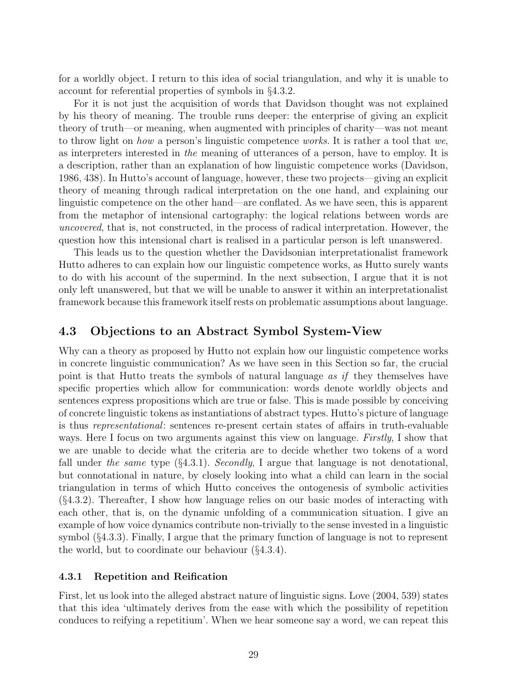for a worldly object. I return to this idea of social triangulation, and why it is unable to account for referential properties of symbols in §4.3.2.

For it is not just the acquisition of words that Davidson thought was not explained by his theory of meaning. The trouble runs deeper: the enterprise of giving an explicit theory of truth—or meaning, when augmented with principles of charity—was not meant to throw light on how a person's linguistic competence works. It is rather a tool that we, as interpreters interested in the meaning of utterances of a person, have to employ. It is a description, rather than an explanation of how linguistic competence works (Davidson, 1986, 438). In Hutto's account of language, however, these two projects—giving an explicit theory of meaning through radical interpretation on the one hand, and explaining our linguistic competence on the other hand—are conflated. As we have seen, this is apparent from the metaphor of intensional cartography: the logical relations between words are uncovered, that is, not constructed, in the process of radical interpretation. However, the question how this intensional chart is realised in a particular person is left unanswered.

This leads us to the question whether the Davidsonian interpretationalist framework Hutto adheres to can explain how our linguistic competence works, as Hutto surely wants to do with his account of the supermind. In the next subsection, I argue that it is not only left unanswered, but that we will be unable to answer it within an interpretationalist framework because this framework itself rests on problematic assumptions about language.

## 4.3 Objections to an Abstract Symbol System-View

Why can a theory as proposed by Hutto not explain how our linguistic competence works in concrete linguistic communication? As we have seen in this Section so far, the crucial point is that Hutto treats the symbols of natural language as if they themselves have specific properties which allow for communication: words denote worldly objects and sentences express propositions which are true or false. This is made possible by conceiving of concrete linguistic tokens as instantiations of abstract types. Hutto's picture of language is thus representational: sentences re-present certain states of affairs in truth-evaluable ways. Here I focus on two arguments against this view on language. Firstly, I show that we are unable to decide what the criteria are to decide whether two tokens of a word fall under the same type  $(\S 4.3.1)$ . Secondly, I argue that language is not denotational, but connotational in nature, by closely looking into what a child can learn in the social triangulation in terms of which Hutto conceives the ontogenesis of symbolic activities (§4.3.2). Thereafter, I show how language relies on our basic modes of interacting with each other, that is, on the dynamic unfolding of a communication situation. I give an example of how voice dynamics contribute non-trivially to the sense invested in a linguistic symbol (§4.3.3). Finally, I argue that the primary function of language is not to represent the world, but to coordinate our behaviour (§4.3.4).

#### 4.3.1 Repetition and Reification

First, let us look into the alleged abstract nature of linguistic signs. Love (2004, 539) states that this idea 'ultimately derives from the ease with which the possibility of repetition conduces to reifying a repetitium'. When we hear someone say a word, we can repeat this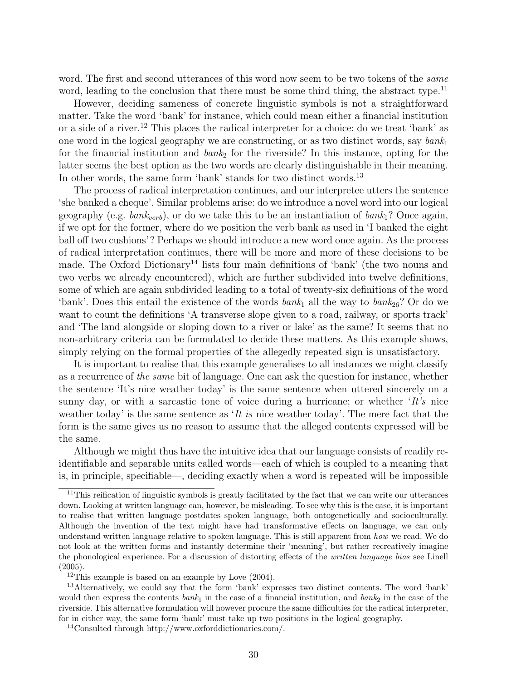word. The first and second utterances of this word now seem to be two tokens of the *same* word, leading to the conclusion that there must be some third thing, the abstract type.<sup>11</sup>

However, deciding sameness of concrete linguistic symbols is not a straightforward matter. Take the word 'bank' for instance, which could mean either a financial institution or a side of a river.<sup>12</sup> This places the radical interpreter for a choice: do we treat 'bank' as one word in the logical geography we are constructing, or as two distinct words, say  $\mathit{bank}_1$ for the financial institution and  $\delta a n k_2$  for the riverside? In this instance, opting for the latter seems the best option as the two words are clearly distinguishable in their meaning. In other words, the same form 'bank' stands for two distinct words.<sup>13</sup>

The process of radical interpretation continues, and our interpretee utters the sentence 'she banked a cheque'. Similar problems arise: do we introduce a novel word into our logical geography (e.g.  $bank_{verb}$ ), or do we take this to be an instantiation of  $bank_1$ ? Once again, if we opt for the former, where do we position the verb bank as used in 'I banked the eight ball off two cushions'? Perhaps we should introduce a new word once again. As the process of radical interpretation continues, there will be more and more of these decisions to be made. The Oxford Dictionary<sup>14</sup> lists four main definitions of 'bank' (the two nouns and two verbs we already encountered), which are further subdivided into twelve definitions, some of which are again subdivided leading to a total of twenty-six definitions of the word 'bank'. Does this entail the existence of the words  $bank_1$  all the way to  $bank_{26}$ ? Or do we want to count the definitions 'A transverse slope given to a road, railway, or sports track' and 'The land alongside or sloping down to a river or lake' as the same? It seems that no non-arbitrary criteria can be formulated to decide these matters. As this example shows, simply relying on the formal properties of the allegedly repeated sign is unsatisfactory.

It is important to realise that this example generalises to all instances we might classify as a recurrence of the same bit of language. One can ask the question for instance, whether the sentence 'It's nice weather today' is the same sentence when uttered sincerely on a sunny day, or with a sarcastic tone of voice during a hurricane; or whether  $It's$  nice weather today' is the same sentence as  $It$  is nice weather today'. The mere fact that the form is the same gives us no reason to assume that the alleged contents expressed will be the same.

Although we might thus have the intuitive idea that our language consists of readily reidentifiable and separable units called words—each of which is coupled to a meaning that is, in principle, specifiable—, deciding exactly when a word is repeated will be impossible

<sup>&</sup>lt;sup>11</sup>This reification of linguistic symbols is greatly facilitated by the fact that we can write our utterances down. Looking at written language can, however, be misleading. To see why this is the case, it is important to realise that written language postdates spoken language, both ontogenetically and socioculturally. Although the invention of the text might have had transformative effects on language, we can only understand written language relative to spoken language. This is still apparent from how we read. We do not look at the written forms and instantly determine their 'meaning', but rather recreatively imagine the phonological experience. For a discussion of distorting effects of the written language bias see Linell (2005).

 $12$ This example is based on an example by Love (2004).

<sup>&</sup>lt;sup>13</sup>Alternatively, we could say that the form 'bank' expresses two distinct contents. The word 'bank' would then express the contents  $bank_1$  in the case of a financial institution, and  $bank_2$  in the case of the riverside. This alternative formulation will however procure the same difficulties for the radical interpreter, for in either way, the same form 'bank' must take up two positions in the logical geography.

<sup>14</sup>Consulted through http://www.oxforddictionaries.com/.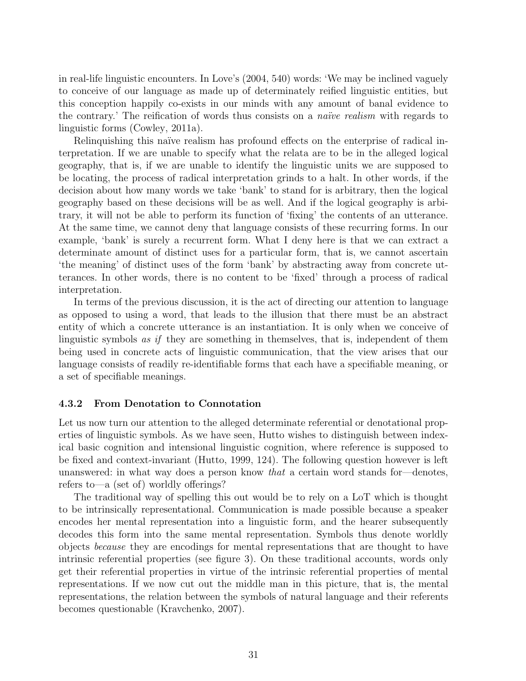in real-life linguistic encounters. In Love's (2004, 540) words: 'We may be inclined vaguely to conceive of our language as made up of determinately reified linguistic entities, but this conception happily co-exists in our minds with any amount of banal evidence to the contrary.' The reification of words thus consists on a *naïve realism* with regards to linguistic forms (Cowley, 2011a).

Relinquishing this naïve realism has profound effects on the enterprise of radical interpretation. If we are unable to specify what the relata are to be in the alleged logical geography, that is, if we are unable to identify the linguistic units we are supposed to be locating, the process of radical interpretation grinds to a halt. In other words, if the decision about how many words we take 'bank' to stand for is arbitrary, then the logical geography based on these decisions will be as well. And if the logical geography is arbitrary, it will not be able to perform its function of 'fixing' the contents of an utterance. At the same time, we cannot deny that language consists of these recurring forms. In our example, 'bank' is surely a recurrent form. What I deny here is that we can extract a determinate amount of distinct uses for a particular form, that is, we cannot ascertain 'the meaning' of distinct uses of the form 'bank' by abstracting away from concrete utterances. In other words, there is no content to be 'fixed' through a process of radical interpretation.

In terms of the previous discussion, it is the act of directing our attention to language as opposed to using a word, that leads to the illusion that there must be an abstract entity of which a concrete utterance is an instantiation. It is only when we conceive of linguistic symbols as if they are something in themselves, that is, independent of them being used in concrete acts of linguistic communication, that the view arises that our language consists of readily re-identifiable forms that each have a specifiable meaning, or a set of specifiable meanings.

#### 4.3.2 From Denotation to Connotation

Let us now turn our attention to the alleged determinate referential or denotational properties of linguistic symbols. As we have seen, Hutto wishes to distinguish between indexical basic cognition and intensional linguistic cognition, where reference is supposed to be fixed and context-invariant (Hutto, 1999, 124). The following question however is left unanswered: in what way does a person know *that* a certain word stands for—denotes, refers to—a (set of) worldly offerings?

The traditional way of spelling this out would be to rely on a LoT which is thought to be intrinsically representational. Communication is made possible because a speaker encodes her mental representation into a linguistic form, and the hearer subsequently decodes this form into the same mental representation. Symbols thus denote worldly objects because they are encodings for mental representations that are thought to have intrinsic referential properties (see figure 3). On these traditional accounts, words only get their referential properties in virtue of the intrinsic referential properties of mental representations. If we now cut out the middle man in this picture, that is, the mental representations, the relation between the symbols of natural language and their referents becomes questionable (Kravchenko, 2007).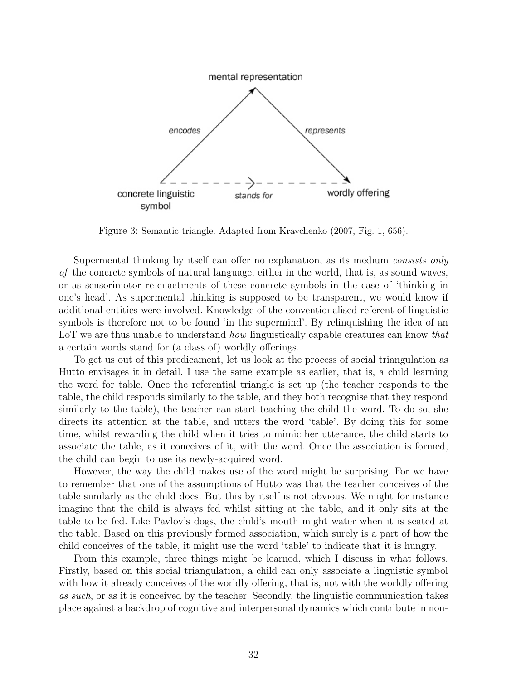

Figure 3: Semantic triangle. Adapted from Kravchenko (2007, Fig. 1, 656).

Supermental thinking by itself can offer no explanation, as its medium consists only of the concrete symbols of natural language, either in the world, that is, as sound waves, or as sensorimotor re-enactments of these concrete symbols in the case of 'thinking in one's head'. As supermental thinking is supposed to be transparent, we would know if additional entities were involved. Knowledge of the conventionalised referent of linguistic symbols is therefore not to be found 'in the supermind'. By relinquishing the idea of an LoT we are thus unable to understand *how* linguistically capable creatures can know *that* a certain words stand for (a class of) worldly offerings.

To get us out of this predicament, let us look at the process of social triangulation as Hutto envisages it in detail. I use the same example as earlier, that is, a child learning the word for table. Once the referential triangle is set up (the teacher responds to the table, the child responds similarly to the table, and they both recognise that they respond similarly to the table), the teacher can start teaching the child the word. To do so, she directs its attention at the table, and utters the word 'table'. By doing this for some time, whilst rewarding the child when it tries to mimic her utterance, the child starts to associate the table, as it conceives of it, with the word. Once the association is formed, the child can begin to use its newly-acquired word.

However, the way the child makes use of the word might be surprising. For we have to remember that one of the assumptions of Hutto was that the teacher conceives of the table similarly as the child does. But this by itself is not obvious. We might for instance imagine that the child is always fed whilst sitting at the table, and it only sits at the table to be fed. Like Pavlov's dogs, the child's mouth might water when it is seated at the table. Based on this previously formed association, which surely is a part of how the child conceives of the table, it might use the word 'table' to indicate that it is hungry.

From this example, three things might be learned, which I discuss in what follows. Firstly, based on this social triangulation, a child can only associate a linguistic symbol with how it already conceives of the worldly offering, that is, not with the worldly offering as such, or as it is conceived by the teacher. Secondly, the linguistic communication takes place against a backdrop of cognitive and interpersonal dynamics which contribute in non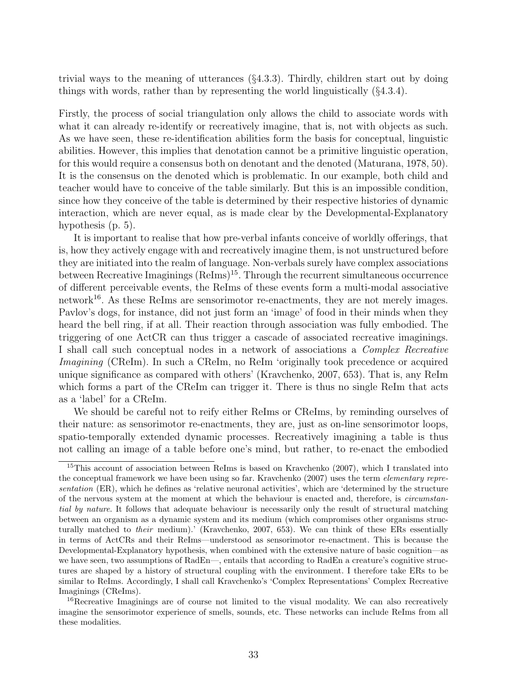trivial ways to the meaning of utterances (§4.3.3). Thirdly, children start out by doing things with words, rather than by representing the world linguistically (§4.3.4).

Firstly, the process of social triangulation only allows the child to associate words with what it can already re-identify or recreatively imagine, that is, not with objects as such. As we have seen, these re-identification abilities form the basis for conceptual, linguistic abilities. However, this implies that denotation cannot be a primitive linguistic operation, for this would require a consensus both on denotant and the denoted (Maturana, 1978, 50). It is the consensus on the denoted which is problematic. In our example, both child and teacher would have to conceive of the table similarly. But this is an impossible condition, since how they conceive of the table is determined by their respective histories of dynamic interaction, which are never equal, as is made clear by the Developmental-Explanatory hypothesis (p. 5).

It is important to realise that how pre-verbal infants conceive of worldly offerings, that is, how they actively engage with and recreatively imagine them, is not unstructured before they are initiated into the realm of language. Non-verbals surely have complex associations between Recreative Imaginings  $(Refms)^{15}$ . Through the recurrent simultaneous occurrence of different perceivable events, the ReIms of these events form a multi-modal associative network<sup>16</sup>. As these ReIms are sensorimotor re-enactments, they are not merely images. Pavlov's dogs, for instance, did not just form an 'image' of food in their minds when they heard the bell ring, if at all. Their reaction through association was fully embodied. The triggering of one ActCR can thus trigger a cascade of associated recreative imaginings. I shall call such conceptual nodes in a network of associations a Complex Recreative Imagining (CReIm). In such a CReIm, no ReIm 'originally took precedence or acquired unique significance as compared with others' (Kravchenko, 2007, 653). That is, any ReIm which forms a part of the CReIm can trigger it. There is thus no single ReIm that acts as a 'label' for a CReIm.

We should be careful not to reify either ReIms or CReIms, by reminding ourselves of their nature: as sensorimotor re-enactments, they are, just as on-line sensorimotor loops, spatio-temporally extended dynamic processes. Recreatively imagining a table is thus not calling an image of a table before one's mind, but rather, to re-enact the embodied

<sup>&</sup>lt;sup>15</sup>This account of association between ReIms is based on Kravchenko (2007), which I translated into the conceptual framework we have been using so far. Kravchenko (2007) uses the term *elementary repre*sentation (ER), which he defines as 'relative neuronal activities', which are 'determined by the structure of the nervous system at the moment at which the behaviour is enacted and, therefore, is circumstantial by nature. It follows that adequate behaviour is necessarily only the result of structural matching between an organism as a dynamic system and its medium (which compromises other organisms structurally matched to their medium).' (Kravchenko, 2007, 653). We can think of these ERs essentially in terms of ActCRs and their ReIms—understood as sensorimotor re-enactment. This is because the Developmental-Explanatory hypothesis, when combined with the extensive nature of basic cognition—as we have seen, two assumptions of RadEn—, entails that according to RadEn a creature's cognitive structures are shaped by a history of structural coupling with the environment. I therefore take ERs to be similar to ReIms. Accordingly, I shall call Kravchenko's 'Complex Representations' Complex Recreative Imaginings (CReIms).

<sup>&</sup>lt;sup>16</sup>Recreative Imaginings are of course not limited to the visual modality. We can also recreatively imagine the sensorimotor experience of smells, sounds, etc. These networks can include ReIms from all these modalities.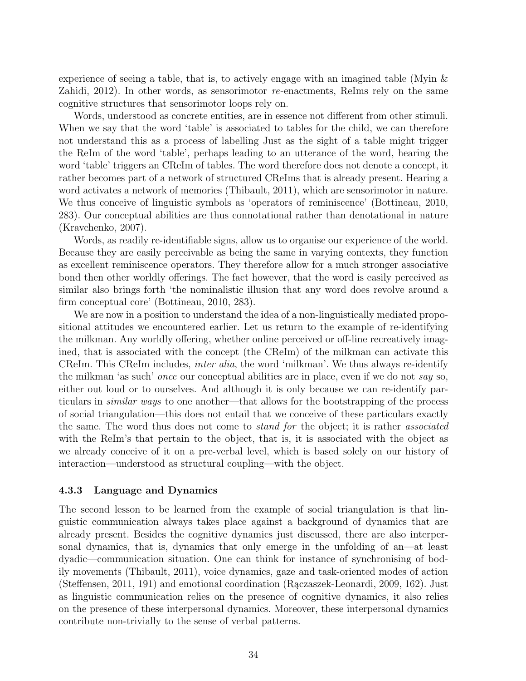experience of seeing a table, that is, to actively engage with an imagined table (Myin & Zahidi,  $2012$ ). In other words, as sensorimotor re-enactments, ReIms rely on the same cognitive structures that sensorimotor loops rely on.

Words, understood as concrete entities, are in essence not different from other stimuli. When we say that the word 'table' is associated to tables for the child, we can therefore not understand this as a process of labelling Just as the sight of a table might trigger the ReIm of the word 'table', perhaps leading to an utterance of the word, hearing the word 'table' triggers an CReIm of tables. The word therefore does not denote a concept, it rather becomes part of a network of structured CReIms that is already present. Hearing a word activates a network of memories (Thibault, 2011), which are sensorimotor in nature. We thus conceive of linguistic symbols as 'operators of reminiscence' (Bottineau, 2010, 283). Our conceptual abilities are thus connotational rather than denotational in nature (Kravchenko, 2007).

Words, as readily re-identifiable signs, allow us to organise our experience of the world. Because they are easily perceivable as being the same in varying contexts, they function as excellent reminiscence operators. They therefore allow for a much stronger associative bond then other worldly offerings. The fact however, that the word is easily perceived as similar also brings forth 'the nominalistic illusion that any word does revolve around a firm conceptual core' (Bottineau, 2010, 283).

We are now in a position to understand the idea of a non-linguistically mediated propositional attitudes we encountered earlier. Let us return to the example of re-identifying the milkman. Any worldly offering, whether online perceived or off-line recreatively imagined, that is associated with the concept (the CReIm) of the milkman can activate this CReIm. This CReIm includes, inter alia, the word 'milkman'. We thus always re-identify the milkman 'as such' once our conceptual abilities are in place, even if we do not say so, either out loud or to ourselves. And although it is only because we can re-identify particulars in similar ways to one another—that allows for the bootstrapping of the process of social triangulation—this does not entail that we conceive of these particulars exactly the same. The word thus does not come to *stand for* the object; it is rather *associated* with the ReIm's that pertain to the object, that is, it is associated with the object as we already conceive of it on a pre-verbal level, which is based solely on our history of interaction—understood as structural coupling—with the object.

#### 4.3.3 Language and Dynamics

The second lesson to be learned from the example of social triangulation is that linguistic communication always takes place against a background of dynamics that are already present. Besides the cognitive dynamics just discussed, there are also interpersonal dynamics, that is, dynamics that only emerge in the unfolding of an—at least dyadic—communication situation. One can think for instance of synchronising of bodily movements (Thibault, 2011), voice dynamics, gaze and task-oriented modes of action (Steffensen, 2011, 191) and emotional coordination (Raczaszek-Leonardi, 2009, 162). Just as linguistic communication relies on the presence of cognitive dynamics, it also relies on the presence of these interpersonal dynamics. Moreover, these interpersonal dynamics contribute non-trivially to the sense of verbal patterns.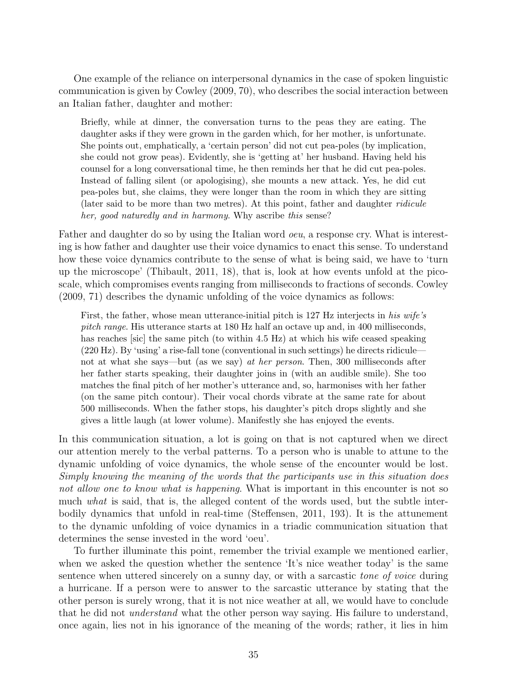One example of the reliance on interpersonal dynamics in the case of spoken linguistic communication is given by Cowley (2009, 70), who describes the social interaction between an Italian father, daughter and mother:

Briefly, while at dinner, the conversation turns to the peas they are eating. The daughter asks if they were grown in the garden which, for her mother, is unfortunate. She points out, emphatically, a 'certain person' did not cut pea-poles (by implication, she could not grow peas). Evidently, she is 'getting at' her husband. Having held his counsel for a long conversational time, he then reminds her that he did cut pea-poles. Instead of falling silent (or apologising), she mounts a new attack. Yes, he did cut pea-poles but, she claims, they were longer than the room in which they are sitting (later said to be more than two metres). At this point, father and daughter ridicule her, good naturedly and in harmony. Why ascribe this sense?

Father and daughter do so by using the Italian word *oeu*, a response cry. What is interesting is how father and daughter use their voice dynamics to enact this sense. To understand how these voice dynamics contribute to the sense of what is being said, we have to 'turn up the microscope' (Thibault, 2011, 18), that is, look at how events unfold at the picoscale, which compromises events ranging from milliseconds to fractions of seconds. Cowley (2009, 71) describes the dynamic unfolding of the voice dynamics as follows:

First, the father, whose mean utterance-initial pitch is 127 Hz interjects in his wife's pitch range. His utterance starts at 180 Hz half an octave up and, in 400 milliseconds, has reaches so sicker is same pitch (to within 4.5 Hz) at which his wife ceased speaking (220 Hz). By 'using' a rise-fall tone (conventional in such settings) he directs ridicule not at what she says—but (as we say) at her person. Then, 300 milliseconds after her father starts speaking, their daughter joins in (with an audible smile). She too matches the final pitch of her mother's utterance and, so, harmonises with her father (on the same pitch contour). Their vocal chords vibrate at the same rate for about 500 milliseconds. When the father stops, his daughter's pitch drops slightly and she gives a little laugh (at lower volume). Manifestly she has enjoyed the events.

In this communication situation, a lot is going on that is not captured when we direct our attention merely to the verbal patterns. To a person who is unable to attune to the dynamic unfolding of voice dynamics, the whole sense of the encounter would be lost. Simply knowing the meaning of the words that the participants use in this situation does not allow one to know what is happening. What is important in this encounter is not so much what is said, that is, the alleged content of the words used, but the subtle interbodily dynamics that unfold in real-time (Steffensen, 2011, 193). It is the attunement to the dynamic unfolding of voice dynamics in a triadic communication situation that determines the sense invested in the word 'oeu'.

To further illuminate this point, remember the trivial example we mentioned earlier, when we asked the question whether the sentence 'It's nice weather today' is the same sentence when uttered sincerely on a sunny day, or with a sarcastic *tone of voice* during a hurricane. If a person were to answer to the sarcastic utterance by stating that the other person is surely wrong, that it is not nice weather at all, we would have to conclude that he did not understand what the other person way saying. His failure to understand, once again, lies not in his ignorance of the meaning of the words; rather, it lies in him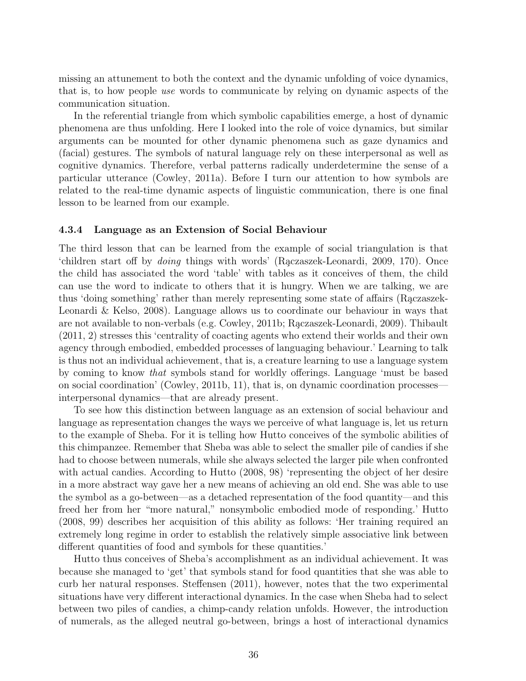missing an attunement to both the context and the dynamic unfolding of voice dynamics, that is, to how people use words to communicate by relying on dynamic aspects of the communication situation.

In the referential triangle from which symbolic capabilities emerge, a host of dynamic phenomena are thus unfolding. Here I looked into the role of voice dynamics, but similar arguments can be mounted for other dynamic phenomena such as gaze dynamics and (facial) gestures. The symbols of natural language rely on these interpersonal as well as cognitive dynamics. Therefore, verbal patterns radically underdetermine the sense of a particular utterance (Cowley, 2011a). Before I turn our attention to how symbols are related to the real-time dynamic aspects of linguistic communication, there is one final lesson to be learned from our example.

#### 4.3.4 Language as an Extension of Social Behaviour

The third lesson that can be learned from the example of social triangulation is that 'children start off by *doing* things with words' (Rączaszek-Leonardi, 2009, 170). Once the child has associated the word 'table' with tables as it conceives of them, the child can use the word to indicate to others that it is hungry. When we are talking, we are thus 'doing something' rather than merely representing some state of affairs (Raczaszek-Leonardi & Kelso, 2008). Language allows us to coordinate our behaviour in ways that are not available to non-verbals (e.g. Cowley, 2011b; Raczaszek-Leonardi, 2009). Thibault (2011, 2) stresses this 'centrality of coacting agents who extend their worlds and their own agency through embodied, embedded processes of languaging behaviour.' Learning to talk is thus not an individual achievement, that is, a creature learning to use a language system by coming to know that symbols stand for worldly offerings. Language 'must be based on social coordination' (Cowley, 2011b, 11), that is, on dynamic coordination processes interpersonal dynamics—that are already present.

To see how this distinction between language as an extension of social behaviour and language as representation changes the ways we perceive of what language is, let us return to the example of Sheba. For it is telling how Hutto conceives of the symbolic abilities of this chimpanzee. Remember that Sheba was able to select the smaller pile of candies if she had to choose between numerals, while she always selected the larger pile when confronted with actual candies. According to Hutto (2008, 98) 'representing the object of her desire in a more abstract way gave her a new means of achieving an old end. She was able to use the symbol as a go-between—as a detached representation of the food quantity—and this freed her from her "more natural," nonsymbolic embodied mode of responding.' Hutto (2008, 99) describes her acquisition of this ability as follows: 'Her training required an extremely long regime in order to establish the relatively simple associative link between different quantities of food and symbols for these quantities.'

Hutto thus conceives of Sheba's accomplishment as an individual achievement. It was because she managed to 'get' that symbols stand for food quantities that she was able to curb her natural responses. Steffensen (2011), however, notes that the two experimental situations have very different interactional dynamics. In the case when Sheba had to select between two piles of candies, a chimp-candy relation unfolds. However, the introduction of numerals, as the alleged neutral go-between, brings a host of interactional dynamics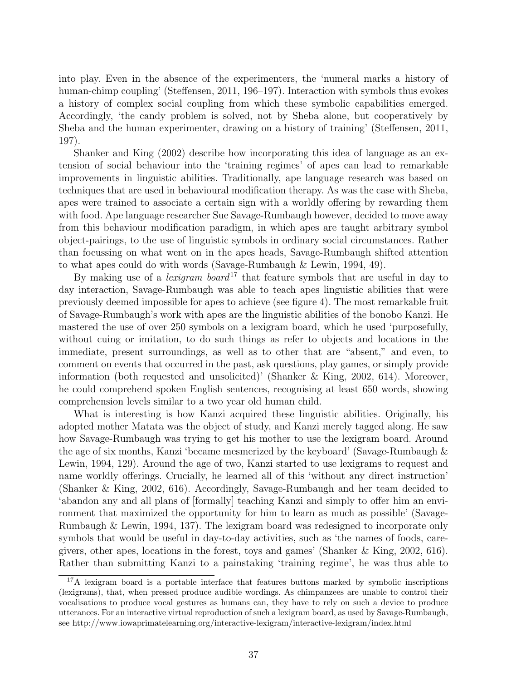into play. Even in the absence of the experimenters, the 'numeral marks a history of human-chimp coupling' (Steffensen, 2011, 196–197). Interaction with symbols thus evokes a history of complex social coupling from which these symbolic capabilities emerged. Accordingly, 'the candy problem is solved, not by Sheba alone, but cooperatively by Sheba and the human experimenter, drawing on a history of training' (Steffensen, 2011, 197).

Shanker and King (2002) describe how incorporating this idea of language as an extension of social behaviour into the 'training regimes' of apes can lead to remarkable improvements in linguistic abilities. Traditionally, ape language research was based on techniques that are used in behavioural modification therapy. As was the case with Sheba, apes were trained to associate a certain sign with a worldly offering by rewarding them with food. Ape language researcher Sue Savage-Rumbaugh however, decided to move away from this behaviour modification paradigm, in which apes are taught arbitrary symbol object-pairings, to the use of linguistic symbols in ordinary social circumstances. Rather than focussing on what went on in the apes heads, Savage-Rumbaugh shifted attention to what apes could do with words (Savage-Rumbaugh & Lewin, 1994, 49).

By making use of a *lexigram* board<sup>17</sup> that feature symbols that are useful in day to day interaction, Savage-Rumbaugh was able to teach apes linguistic abilities that were previously deemed impossible for apes to achieve (see figure 4). The most remarkable fruit of Savage-Rumbaugh's work with apes are the linguistic abilities of the bonobo Kanzi. He mastered the use of over 250 symbols on a lexigram board, which he used 'purposefully, without cuing or imitation, to do such things as refer to objects and locations in the immediate, present surroundings, as well as to other that are "absent," and even, to comment on events that occurred in the past, ask questions, play games, or simply provide information (both requested and unsolicited)' (Shanker & King, 2002, 614). Moreover, he could comprehend spoken English sentences, recognising at least 650 words, showing comprehension levels similar to a two year old human child.

What is interesting is how Kanzi acquired these linguistic abilities. Originally, his adopted mother Matata was the object of study, and Kanzi merely tagged along. He saw how Savage-Rumbaugh was trying to get his mother to use the lexigram board. Around the age of six months, Kanzi 'became mesmerized by the keyboard' (Savage-Rumbaugh & Lewin, 1994, 129). Around the age of two, Kanzi started to use lexigrams to request and name worldly offerings. Crucially, he learned all of this 'without any direct instruction' (Shanker & King, 2002, 616). Accordingly, Savage-Rumbaugh and her team decided to 'abandon any and all plans of [formally] teaching Kanzi and simply to offer him an environment that maximized the opportunity for him to learn as much as possible' (Savage-Rumbaugh & Lewin, 1994, 137). The lexigram board was redesigned to incorporate only symbols that would be useful in day-to-day activities, such as 'the names of foods, caregivers, other apes, locations in the forest, toys and games' (Shanker & King, 2002, 616). Rather than submitting Kanzi to a painstaking 'training regime', he was thus able to

<sup>&</sup>lt;sup>17</sup>A lexigram board is a portable interface that features buttons marked by symbolic inscriptions (lexigrams), that, when pressed produce audible wordings. As chimpanzees are unable to control their vocalisations to produce vocal gestures as humans can, they have to rely on such a device to produce utterances. For an interactive virtual reproduction of such a lexigram board, as used by Savage-Rumbaugh, see http://www.iowaprimatelearning.org/interactive-lexigram/interactive-lexigram/index.html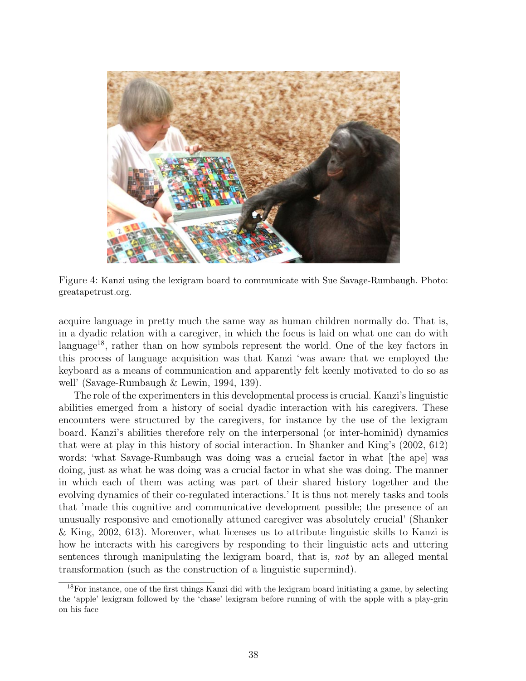

Figure 4: Kanzi using the lexigram board to communicate with Sue Savage-Rumbaugh. Photo: greatapetrust.org.

acquire language in pretty much the same way as human children normally do. That is, in a dyadic relation with a caregiver, in which the focus is laid on what one can do with language<sup>18</sup>, rather than on how symbols represent the world. One of the key factors in this process of language acquisition was that Kanzi 'was aware that we employed the keyboard as a means of communication and apparently felt keenly motivated to do so as well' (Savage-Rumbaugh & Lewin, 1994, 139).

The role of the experimenters in this developmental process is crucial. Kanzi's linguistic abilities emerged from a history of social dyadic interaction with his caregivers. These encounters were structured by the caregivers, for instance by the use of the lexigram board. Kanzi's abilities therefore rely on the interpersonal (or inter-hominid) dynamics that were at play in this history of social interaction. In Shanker and King's (2002, 612) words: 'what Savage-Rumbaugh was doing was a crucial factor in what [the ape] was doing, just as what he was doing was a crucial factor in what she was doing. The manner in which each of them was acting was part of their shared history together and the evolving dynamics of their co-regulated interactions.' It is thus not merely tasks and tools that 'made this cognitive and communicative development possible; the presence of an unusually responsive and emotionally attuned caregiver was absolutely crucial' (Shanker & King, 2002, 613). Moreover, what licenses us to attribute linguistic skills to Kanzi is how he interacts with his caregivers by responding to their linguistic acts and uttering sentences through manipulating the lexigram board, that is, not by an alleged mental transformation (such as the construction of a linguistic supermind).

<sup>&</sup>lt;sup>18</sup>For instance, one of the first things Kanzi did with the lexigram board initiating a game, by selecting the 'apple' lexigram followed by the 'chase' lexigram before running of with the apple with a play-grin on his face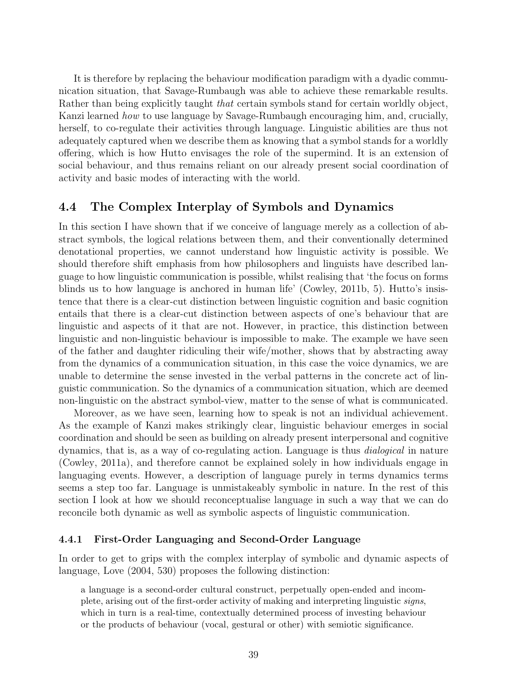It is therefore by replacing the behaviour modification paradigm with a dyadic communication situation, that Savage-Rumbaugh was able to achieve these remarkable results. Rather than being explicitly taught *that* certain symbols stand for certain worldly object, Kanzi learned how to use language by Savage-Rumbaugh encouraging him, and, crucially, herself, to co-regulate their activities through language. Linguistic abilities are thus not adequately captured when we describe them as knowing that a symbol stands for a worldly offering, which is how Hutto envisages the role of the supermind. It is an extension of social behaviour, and thus remains reliant on our already present social coordination of activity and basic modes of interacting with the world.

## 4.4 The Complex Interplay of Symbols and Dynamics

In this section I have shown that if we conceive of language merely as a collection of abstract symbols, the logical relations between them, and their conventionally determined denotational properties, we cannot understand how linguistic activity is possible. We should therefore shift emphasis from how philosophers and linguists have described language to how linguistic communication is possible, whilst realising that 'the focus on forms blinds us to how language is anchored in human life' (Cowley, 2011b, 5). Hutto's insistence that there is a clear-cut distinction between linguistic cognition and basic cognition entails that there is a clear-cut distinction between aspects of one's behaviour that are linguistic and aspects of it that are not. However, in practice, this distinction between linguistic and non-linguistic behaviour is impossible to make. The example we have seen of the father and daughter ridiculing their wife/mother, shows that by abstracting away from the dynamics of a communication situation, in this case the voice dynamics, we are unable to determine the sense invested in the verbal patterns in the concrete act of linguistic communication. So the dynamics of a communication situation, which are deemed non-linguistic on the abstract symbol-view, matter to the sense of what is communicated.

Moreover, as we have seen, learning how to speak is not an individual achievement. As the example of Kanzi makes strikingly clear, linguistic behaviour emerges in social coordination and should be seen as building on already present interpersonal and cognitive dynamics, that is, as a way of co-regulating action. Language is thus dialogical in nature (Cowley, 2011a), and therefore cannot be explained solely in how individuals engage in languaging events. However, a description of language purely in terms dynamics terms seems a step too far. Language is unmistakeably symbolic in nature. In the rest of this section I look at how we should reconceptualise language in such a way that we can do reconcile both dynamic as well as symbolic aspects of linguistic communication.

#### 4.4.1 First-Order Languaging and Second-Order Language

In order to get to grips with the complex interplay of symbolic and dynamic aspects of language, Love (2004, 530) proposes the following distinction:

a language is a second-order cultural construct, perpetually open-ended and incomplete, arising out of the first-order activity of making and interpreting linguistic signs, which in turn is a real-time, contextually determined process of investing behaviour or the products of behaviour (vocal, gestural or other) with semiotic significance.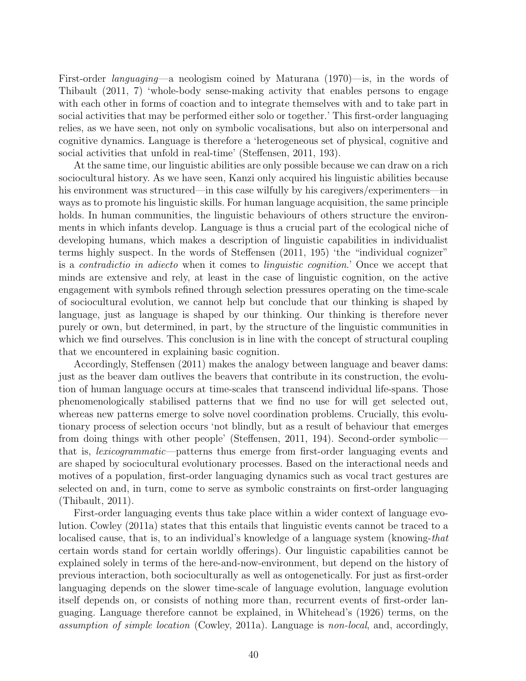First-order languaging—a neologism coined by Maturana (1970)—is, in the words of Thibault (2011, 7) 'whole-body sense-making activity that enables persons to engage with each other in forms of coaction and to integrate themselves with and to take part in social activities that may be performed either solo or together.' This first-order languaging relies, as we have seen, not only on symbolic vocalisations, but also on interpersonal and cognitive dynamics. Language is therefore a 'heterogeneous set of physical, cognitive and social activities that unfold in real-time' (Steffensen, 2011, 193).

At the same time, our linguistic abilities are only possible because we can draw on a rich sociocultural history. As we have seen, Kanzi only acquired his linguistic abilities because his environment was structured—in this case wilfully by his caregivers/experimenters—in ways as to promote his linguistic skills. For human language acquisition, the same principle holds. In human communities, the linguistic behaviours of others structure the environments in which infants develop. Language is thus a crucial part of the ecological niche of developing humans, which makes a description of linguistic capabilities in individualist terms highly suspect. In the words of Steffensen (2011, 195) 'the "individual cognizer" is a contradictio in adiecto when it comes to linguistic cognition.' Once we accept that minds are extensive and rely, at least in the case of linguistic cognition, on the active engagement with symbols refined through selection pressures operating on the time-scale of sociocultural evolution, we cannot help but conclude that our thinking is shaped by language, just as language is shaped by our thinking. Our thinking is therefore never purely or own, but determined, in part, by the structure of the linguistic communities in which we find ourselves. This conclusion is in line with the concept of structural coupling that we encountered in explaining basic cognition.

Accordingly, Steffensen (2011) makes the analogy between language and beaver dams: just as the beaver dam outlives the beavers that contribute in its construction, the evolution of human language occurs at time-scales that transcend individual life-spans. Those phenomenologically stabilised patterns that we find no use for will get selected out, whereas new patterns emerge to solve novel coordination problems. Crucially, this evolutionary process of selection occurs 'not blindly, but as a result of behaviour that emerges from doing things with other people' (Steffensen, 2011, 194). Second-order symbolic that is, lexicogrammatic—patterns thus emerge from first-order languaging events and are shaped by sociocultural evolutionary processes. Based on the interactional needs and motives of a population, first-order languaging dynamics such as vocal tract gestures are selected on and, in turn, come to serve as symbolic constraints on first-order languaging (Thibault, 2011).

First-order languaging events thus take place within a wider context of language evolution. Cowley (2011a) states that this entails that linguistic events cannot be traced to a localised cause, that is, to an individual's knowledge of a language system (knowing-that certain words stand for certain worldly offerings). Our linguistic capabilities cannot be explained solely in terms of the here-and-now-environment, but depend on the history of previous interaction, both socioculturally as well as ontogenetically. For just as first-order languaging depends on the slower time-scale of language evolution, language evolution itself depends on, or consists of nothing more than, recurrent events of first-order languaging. Language therefore cannot be explained, in Whitehead's (1926) terms, on the assumption of simple location (Cowley, 2011a). Language is non-local, and, accordingly,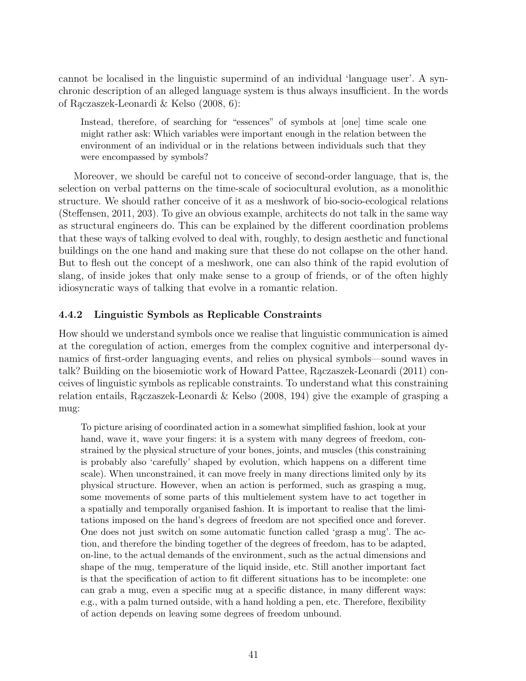cannot be localised in the linguistic supermind of an individual 'language user'. A synchronic description of an alleged language system is thus always insufficient. In the words of Rączaszek-Leonardi  $\&$  Kelso (2008, 6):

Instead, therefore, of searching for "essences" of symbols at [one] time scale one might rather ask: Which variables were important enough in the relation between the environment of an individual or in the relations between individuals such that they were encompassed by symbols?

Moreover, we should be careful not to conceive of second-order language, that is, the selection on verbal patterns on the time-scale of sociocultural evolution, as a monolithic structure. We should rather conceive of it as a meshwork of bio-socio-ecological relations (Steffensen, 2011, 203). To give an obvious example, architects do not talk in the same way as structural engineers do. This can be explained by the different coordination problems that these ways of talking evolved to deal with, roughly, to design aesthetic and functional buildings on the one hand and making sure that these do not collapse on the other hand. But to flesh out the concept of a meshwork, one can also think of the rapid evolution of slang, of inside jokes that only make sense to a group of friends, or of the often highly idiosyncratic ways of talking that evolve in a romantic relation.

### 4.4.2 Linguistic Symbols as Replicable Constraints

How should we understand symbols once we realise that linguistic communication is aimed at the coregulation of action, emerges from the complex cognitive and interpersonal dynamics of first-order languaging events, and relies on physical symbols—sound waves in talk? Building on the biosemiotic work of Howard Pattee, Raczaszek-Leonardi (2011) conceives of linguistic symbols as replicable constraints. To understand what this constraining relation entails, Raczaszek-Leonardi & Kelso  $(2008, 194)$  give the example of grasping a mug:

To picture arising of coordinated action in a somewhat simplified fashion, look at your hand, wave it, wave your fingers: it is a system with many degrees of freedom, constrained by the physical structure of your bones, joints, and muscles (this constraining is probably also 'carefully' shaped by evolution, which happens on a different time scale). When unconstrained, it can move freely in many directions limited only by its physical structure. However, when an action is performed, such as grasping a mug, some movements of some parts of this multielement system have to act together in a spatially and temporally organised fashion. It is important to realise that the limitations imposed on the hand's degrees of freedom are not specified once and forever. One does not just switch on some automatic function called 'grasp a mug'. The action, and therefore the binding together of the degrees of freedom, has to be adapted, on-line, to the actual demands of the environment, such as the actual dimensions and shape of the mug, temperature of the liquid inside, etc. Still another important fact is that the specification of action to fit different situations has to be incomplete: one can grab a mug, even a specific mug at a specific distance, in many different ways: e.g., with a palm turned outside, with a hand holding a pen, etc. Therefore, flexibility of action depends on leaving some degrees of freedom unbound.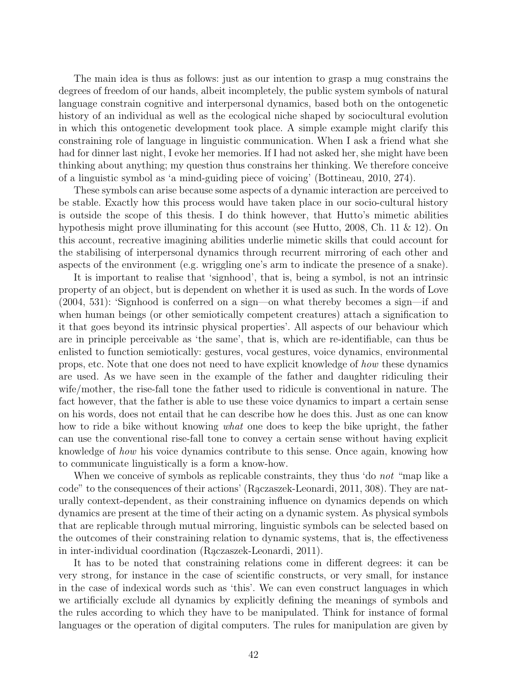The main idea is thus as follows: just as our intention to grasp a mug constrains the degrees of freedom of our hands, albeit incompletely, the public system symbols of natural language constrain cognitive and interpersonal dynamics, based both on the ontogenetic history of an individual as well as the ecological niche shaped by sociocultural evolution in which this ontogenetic development took place. A simple example might clarify this constraining role of language in linguistic communication. When I ask a friend what she had for dinner last night, I evoke her memories. If I had not asked her, she might have been thinking about anything; my question thus constrains her thinking. We therefore conceive of a linguistic symbol as 'a mind-guiding piece of voicing' (Bottineau, 2010, 274).

These symbols can arise because some aspects of a dynamic interaction are perceived to be stable. Exactly how this process would have taken place in our socio-cultural history is outside the scope of this thesis. I do think however, that Hutto's mimetic abilities hypothesis might prove illuminating for this account (see Hutto, 2008, Ch. 11 & 12). On this account, recreative imagining abilities underlie mimetic skills that could account for the stabilising of interpersonal dynamics through recurrent mirroring of each other and aspects of the environment (e.g. wriggling one's arm to indicate the presence of a snake).

It is important to realise that 'signhood', that is, being a symbol, is not an intrinsic property of an object, but is dependent on whether it is used as such. In the words of Love (2004, 531): 'Signhood is conferred on a sign—on what thereby becomes a sign—if and when human beings (or other semiotically competent creatures) attach a signification to it that goes beyond its intrinsic physical properties'. All aspects of our behaviour which are in principle perceivable as 'the same', that is, which are re-identifiable, can thus be enlisted to function semiotically: gestures, vocal gestures, voice dynamics, environmental props, etc. Note that one does not need to have explicit knowledge of how these dynamics are used. As we have seen in the example of the father and daughter ridiculing their wife/mother, the rise-fall tone the father used to ridicule is conventional in nature. The fact however, that the father is able to use these voice dynamics to impart a certain sense on his words, does not entail that he can describe how he does this. Just as one can know how to ride a bike without knowing *what* one does to keep the bike upright, the father can use the conventional rise-fall tone to convey a certain sense without having explicit knowledge of how his voice dynamics contribute to this sense. Once again, knowing how to communicate linguistically is a form a know-how.

When we conceive of symbols as replicable constraints, they thus 'do *not* "map like a code" to the consequences of their actions' (Raczaszek-Leonardi, 2011, 308). They are naturally context-dependent, as their constraining influence on dynamics depends on which dynamics are present at the time of their acting on a dynamic system. As physical symbols that are replicable through mutual mirroring, linguistic symbols can be selected based on the outcomes of their constraining relation to dynamic systems, that is, the effectiveness in inter-individual coordination (Raczaszek-Leonardi, 2011).

It has to be noted that constraining relations come in different degrees: it can be very strong, for instance in the case of scientific constructs, or very small, for instance in the case of indexical words such as 'this'. We can even construct languages in which we artificially exclude all dynamics by explicitly defining the meanings of symbols and the rules according to which they have to be manipulated. Think for instance of formal languages or the operation of digital computers. The rules for manipulation are given by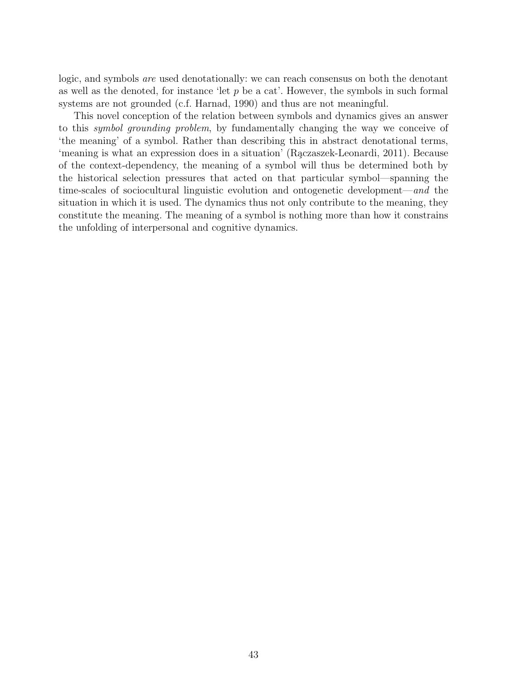logic, and symbols are used denotationally: we can reach consensus on both the denotant as well as the denoted, for instance 'let  $p$  be a cat'. However, the symbols in such formal systems are not grounded (c.f. Harnad, 1990) and thus are not meaningful.

This novel conception of the relation between symbols and dynamics gives an answer to this symbol grounding problem, by fundamentally changing the way we conceive of 'the meaning' of a symbol. Rather than describing this in abstract denotational terms, 'meaning is what an expression does in a situation' (Rączaszek-Leonardi, 2011). Because of the context-dependency, the meaning of a symbol will thus be determined both by the historical selection pressures that acted on that particular symbol—spanning the time-scales of sociocultural linguistic evolution and ontogenetic development—and the situation in which it is used. The dynamics thus not only contribute to the meaning, they constitute the meaning. The meaning of a symbol is nothing more than how it constrains the unfolding of interpersonal and cognitive dynamics.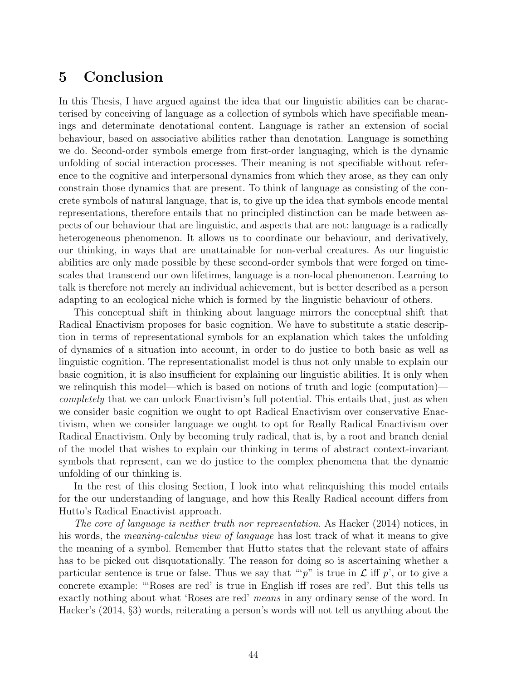# 5 Conclusion

In this Thesis, I have argued against the idea that our linguistic abilities can be characterised by conceiving of language as a collection of symbols which have specifiable meanings and determinate denotational content. Language is rather an extension of social behaviour, based on associative abilities rather than denotation. Language is something we do. Second-order symbols emerge from first-order languaging, which is the dynamic unfolding of social interaction processes. Their meaning is not specifiable without reference to the cognitive and interpersonal dynamics from which they arose, as they can only constrain those dynamics that are present. To think of language as consisting of the concrete symbols of natural language, that is, to give up the idea that symbols encode mental representations, therefore entails that no principled distinction can be made between aspects of our behaviour that are linguistic, and aspects that are not: language is a radically heterogeneous phenomenon. It allows us to coordinate our behaviour, and derivatively, our thinking, in ways that are unattainable for non-verbal creatures. As our linguistic abilities are only made possible by these second-order symbols that were forged on timescales that transcend our own lifetimes, language is a non-local phenomenon. Learning to talk is therefore not merely an individual achievement, but is better described as a person adapting to an ecological niche which is formed by the linguistic behaviour of others.

This conceptual shift in thinking about language mirrors the conceptual shift that Radical Enactivism proposes for basic cognition. We have to substitute a static description in terms of representational symbols for an explanation which takes the unfolding of dynamics of a situation into account, in order to do justice to both basic as well as linguistic cognition. The representationalist model is thus not only unable to explain our basic cognition, it is also insufficient for explaining our linguistic abilities. It is only when we relinquish this model—which is based on notions of truth and logic (computation) completely that we can unlock Enactivism's full potential. This entails that, just as when we consider basic cognition we ought to opt Radical Enactivism over conservative Enactivism, when we consider language we ought to opt for Really Radical Enactivism over Radical Enactivism. Only by becoming truly radical, that is, by a root and branch denial of the model that wishes to explain our thinking in terms of abstract context-invariant symbols that represent, can we do justice to the complex phenomena that the dynamic unfolding of our thinking is.

In the rest of this closing Section, I look into what relinquishing this model entails for the our understanding of language, and how this Really Radical account differs from Hutto's Radical Enactivist approach.

The core of language is neither truth nor representation. As Hacker (2014) notices, in his words, the *meaning-calculus view of language* has lost track of what it means to give the meaning of a symbol. Remember that Hutto states that the relevant state of affairs has to be picked out disquotationally. The reason for doing so is ascertaining whether a particular sentence is true or false. Thus we say that ""p" is true in  $\mathcal L$  iff p', or to give a concrete example: "'Roses are red' is true in English iff roses are red'. But this tells us exactly nothing about what 'Roses are red' means in any ordinary sense of the word. In Hacker's (2014, §3) words, reiterating a person's words will not tell us anything about the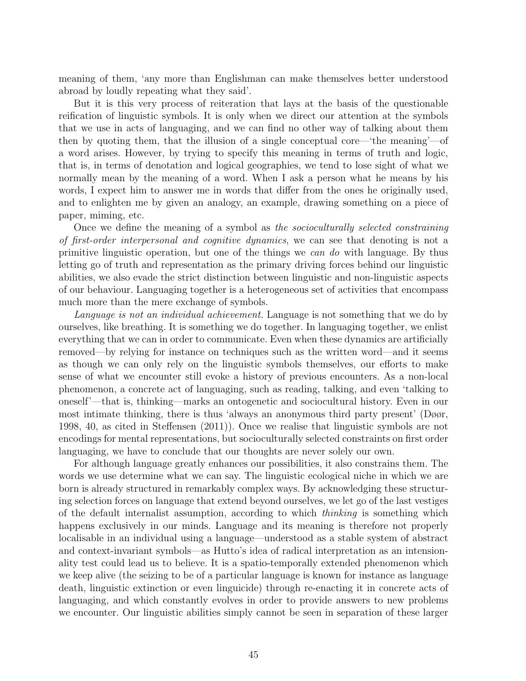meaning of them, 'any more than Englishman can make themselves better understood abroad by loudly repeating what they said'.

But it is this very process of reiteration that lays at the basis of the questionable reification of linguistic symbols. It is only when we direct our attention at the symbols that we use in acts of languaging, and we can find no other way of talking about them then by quoting them, that the illusion of a single conceptual core—'the meaning'—of a word arises. However, by trying to specify this meaning in terms of truth and logic, that is, in terms of denotation and logical geographies, we tend to lose sight of what we normally mean by the meaning of a word. When I ask a person what he means by his words, I expect him to answer me in words that differ from the ones he originally used, and to enlighten me by given an analogy, an example, drawing something on a piece of paper, miming, etc.

Once we define the meaning of a symbol as the socioculturally selected constraining of first-order interpersonal and cognitive dynamics, we can see that denoting is not a primitive linguistic operation, but one of the things we can do with language. By thus letting go of truth and representation as the primary driving forces behind our linguistic abilities, we also evade the strict distinction between linguistic and non-linguistic aspects of our behaviour. Languaging together is a heterogeneous set of activities that encompass much more than the mere exchange of symbols.

Language is not an individual achievement. Language is not something that we do by ourselves, like breathing. It is something we do together. In languaging together, we enlist everything that we can in order to communicate. Even when these dynamics are artificially removed—by relying for instance on techniques such as the written word—and it seems as though we can only rely on the linguistic symbols themselves, our efforts to make sense of what we encounter still evoke a history of previous encounters. As a non-local phenomenon, a concrete act of languaging, such as reading, talking, and even 'talking to oneself'—that is, thinking—marks an ontogenetic and sociocultural history. Even in our most intimate thinking, there is thus 'always an anonymous third party present' (Døør, 1998, 40, as cited in Steffensen (2011)). Once we realise that linguistic symbols are not encodings for mental representations, but socioculturally selected constraints on first order languaging, we have to conclude that our thoughts are never solely our own.

For although language greatly enhances our possibilities, it also constrains them. The words we use determine what we can say. The linguistic ecological niche in which we are born is already structured in remarkably complex ways. By acknowledging these structuring selection forces on language that extend beyond ourselves, we let go of the last vestiges of the default internalist assumption, according to which thinking is something which happens exclusively in our minds. Language and its meaning is therefore not properly localisable in an individual using a language—understood as a stable system of abstract and context-invariant symbols—as Hutto's idea of radical interpretation as an intensionality test could lead us to believe. It is a spatio-temporally extended phenomenon which we keep alive (the seizing to be of a particular language is known for instance as language death, linguistic extinction or even linguicide) through re-enacting it in concrete acts of languaging, and which constantly evolves in order to provide answers to new problems we encounter. Our linguistic abilities simply cannot be seen in separation of these larger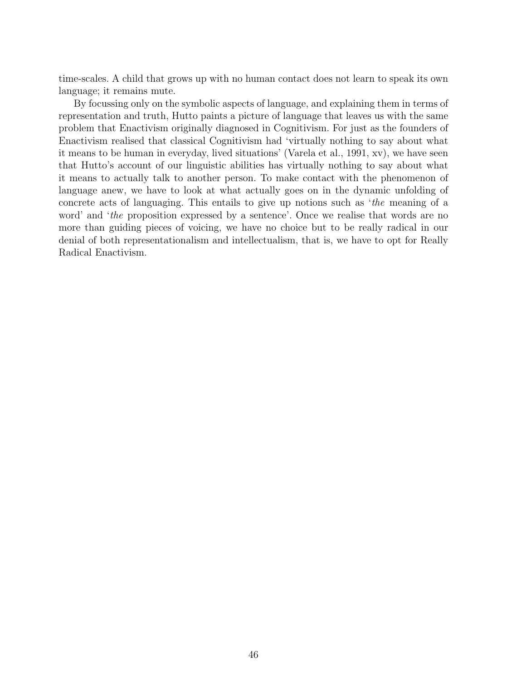time-scales. A child that grows up with no human contact does not learn to speak its own language; it remains mute.

By focussing only on the symbolic aspects of language, and explaining them in terms of representation and truth, Hutto paints a picture of language that leaves us with the same problem that Enactivism originally diagnosed in Cognitivism. For just as the founders of Enactivism realised that classical Cognitivism had 'virtually nothing to say about what it means to be human in everyday, lived situations' (Varela et al., 1991, xv), we have seen that Hutto's account of our linguistic abilities has virtually nothing to say about what it means to actually talk to another person. To make contact with the phenomenon of language anew, we have to look at what actually goes on in the dynamic unfolding of concrete acts of languaging. This entails to give up notions such as 'the meaning of a word' and 'the proposition expressed by a sentence'. Once we realise that words are no more than guiding pieces of voicing, we have no choice but to be really radical in our denial of both representationalism and intellectualism, that is, we have to opt for Really Radical Enactivism.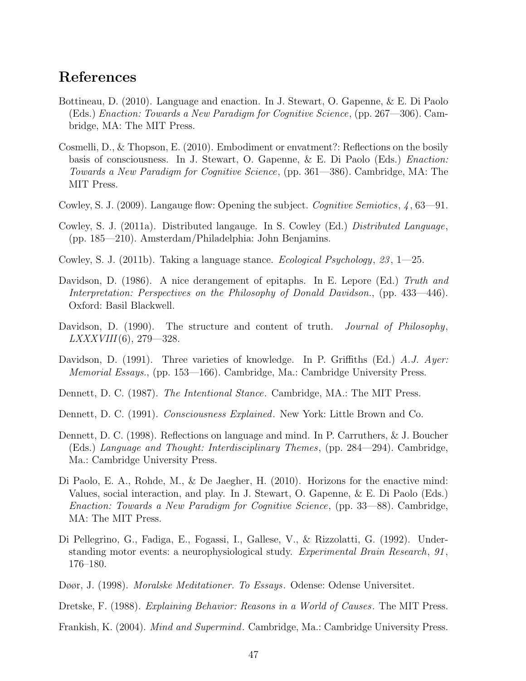# References

- Bottineau, D. (2010). Language and enaction. In J. Stewart, O. Gapenne, & E. Di Paolo (Eds.) Enaction: Towards a New Paradigm for Cognitive Science, (pp. 267—306). Cambridge, MA: The MIT Press.
- Cosmelli, D., & Thopson, E. (2010). Embodiment or envatment?: Reflections on the bosily basis of consciousness. In J. Stewart, O. Gapenne, & E. Di Paolo (Eds.) Enaction: Towards a New Paradigm for Cognitive Science, (pp. 361—386). Cambridge, MA: The MIT Press.
- Cowley, S. J. (2009). Langauge flow: Opening the subject. Cognitive Semiotics,  $\lambda$ , 63—91.
- Cowley, S. J. (2011a). Distributed langauge. In S. Cowley (Ed.) Distributed Language, (pp. 185—210). Amsterdam/Philadelphia: John Benjamins.
- Cowley, S. J. (2011b). Taking a language stance. Ecological Psychology, 23 , 1—25.
- Davidson, D. (1986). A nice derangement of epitaphs. In E. Lepore (Ed.) Truth and Interpretation: Perspectives on the Philosophy of Donald Davidson., (pp. 433—446). Oxford: Basil Blackwell.
- Davidson, D. (1990). The structure and content of truth. *Journal of Philosophy*,  $LXXXVIII(6)$ , 279—328.
- Davidson, D. (1991). Three varieties of knowledge. In P. Griffiths (Ed.) A.J. Ayer: Memorial Essays., (pp. 153—166). Cambridge, Ma.: Cambridge University Press.
- Dennett, D. C. (1987). The Intentional Stance. Cambridge, MA.: The MIT Press.
- Dennett, D. C. (1991). *Consciousness Explained*. New York: Little Brown and Co.
- Dennett, D. C. (1998). Reflections on language and mind. In P. Carruthers, & J. Boucher (Eds.) Language and Thought: Interdisciplinary Themes, (pp. 284—294). Cambridge, Ma.: Cambridge University Press.
- Di Paolo, E. A., Rohde, M., & De Jaegher, H. (2010). Horizons for the enactive mind: Values, social interaction, and play. In J. Stewart, O. Gapenne, & E. Di Paolo (Eds.) Enaction: Towards a New Paradigm for Cognitive Science, (pp. 33—88). Cambridge, MA: The MIT Press.
- Di Pellegrino, G., Fadiga, E., Fogassi, I., Gallese, V., & Rizzolatti, G. (1992). Understanding motor events: a neurophysiological study. Experimental Brain Research, 91 , 176–180.
- Døør, J. (1998). Moralske Meditationer. To Essays. Odense: Odense Universitet.
- Dretske, F. (1988). Explaining Behavior: Reasons in a World of Causes. The MIT Press.
- Frankish, K. (2004). Mind and Supermind. Cambridge, Ma.: Cambridge University Press.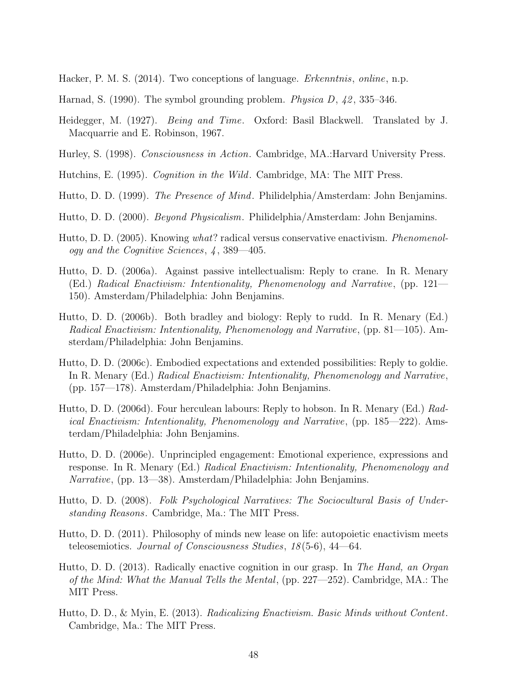Hacker, P. M. S. (2014). Two conceptions of language. *Erkenntnis*, *online*, n.p.

- Harnad, S. (1990). The symbol grounding problem. *Physica D, 42,* 335–346.
- Heidegger, M. (1927). Being and Time. Oxford: Basil Blackwell. Translated by J. Macquarrie and E. Robinson, 1967.
- Hurley, S. (1998). Consciousness in Action. Cambridge, MA.:Harvard University Press.
- Hutchins, E. (1995). Cognition in the Wild. Cambridge, MA: The MIT Press.
- Hutto, D. D. (1999). The Presence of Mind. Philidelphia/Amsterdam: John Benjamins.
- Hutto, D. D. (2000). Beyond Physicalism. Philidelphia/Amsterdam: John Benjamins.
- Hutto, D. D. (2005). Knowing what? radical versus conservative enactivism. Phenomenology and the Cognitive Sciences, 4 , 389—405.
- Hutto, D. D. (2006a). Against passive intellectualism: Reply to crane. In R. Menary (Ed.) Radical Enactivism: Intentionality, Phenomenology and Narrative, (pp. 121— 150). Amsterdam/Philadelphia: John Benjamins.
- Hutto, D. D. (2006b). Both bradley and biology: Reply to rudd. In R. Menary (Ed.) Radical Enactivism: Intentionality, Phenomenology and Narrative, (pp. 81—105). Amsterdam/Philadelphia: John Benjamins.
- Hutto, D. D. (2006c). Embodied expectations and extended possibilities: Reply to goldie. In R. Menary (Ed.) Radical Enactivism: Intentionality, Phenomenology and Narrative, (pp. 157—178). Amsterdam/Philadelphia: John Benjamins.
- Hutto, D. D. (2006d). Four herculean labours: Reply to hobson. In R. Menary (Ed.) Radical Enactivism: Intentionality, Phenomenology and Narrative, (pp. 185—222). Amsterdam/Philadelphia: John Benjamins.
- Hutto, D. D. (2006e). Unprincipled engagement: Emotional experience, expressions and response. In R. Menary (Ed.) Radical Enactivism: Intentionality, Phenomenology and Narrative, (pp. 13—38). Amsterdam/Philadelphia: John Benjamins.
- Hutto, D. D. (2008). Folk Psychological Narratives: The Sociocultural Basis of Understanding Reasons. Cambridge, Ma.: The MIT Press.
- Hutto, D. D. (2011). Philosophy of minds new lease on life: autopoietic enactivism meets teleosemiotics. Journal of Consciousness Studies, 18 (5-6), 44—64.
- Hutto, D. D. (2013). Radically enactive cognition in our grasp. In The Hand, an Organ of the Mind: What the Manual Tells the Mental, (pp. 227—252). Cambridge, MA.: The MIT Press.
- Hutto, D. D., & Myin, E. (2013). Radicalizing Enactivism. Basic Minds without Content. Cambridge, Ma.: The MIT Press.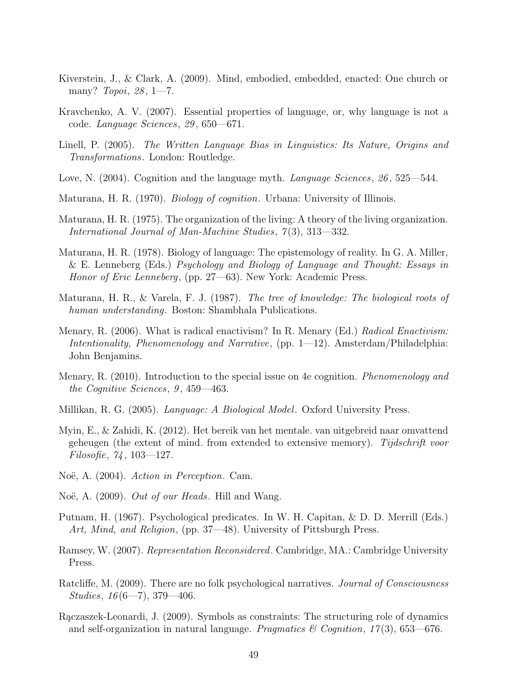- Kiverstein, J., & Clark, A. (2009). Mind, embodied, embedded, enacted: One church or many? *Topoi*,  $28, 1-7$ .
- Kravchenko, A. V. (2007). Essential properties of language, or, why language is not a code. Language Sciences, 29 , 650—671.
- Linell, P. (2005). The Written Language Bias in Linguistics: Its Nature, Origins and Transformations. London: Routledge.
- Love, N. (2004). Cognition and the language myth. Language Sciences, 26, 525–544.
- Maturana, H. R. (1970). Biology of cognition. Urbana: University of Illinois.
- Maturana, H. R. (1975). The organization of the living: A theory of the living organization. International Journal of Man-Machine Studies, 7(3), 313–332.
- Maturana, H. R. (1978). Biology of language: The epistemology of reality. In G. A. Miller, & E. Lenneberg (Eds.) Psychology and Biology of Language and Thought: Essays in Honor of Eric Lenneberg, (pp. 27—63). New York: Academic Press.
- Maturana, H. R., & Varela, F. J. (1987). The tree of knowledge: The biological roots of human understanding. Boston: Shambhala Publications.
- Menary, R. (2006). What is radical enactivism? In R. Menary (Ed.) Radical Enactivism: Intentionality, Phenomenology and Narrative, (pp. 1—12). Amsterdam/Philadelphia: John Benjamins.
- Menary, R. (2010). Introduction to the special issue on 4e cognition. *Phenomenology and* the Cognitive Sciences, 9, 459—463.
- Millikan, R. G. (2005). Language: A Biological Model. Oxford University Press.
- Myin, E., & Zahidi, K. (2012). Het bereik van het mentale. van uitgebreid naar omvattend geheugen (the extent of mind. from extended to extensive memory). Tijdschrift voor Filosofie, 74 , 103—127.
- Noë, A. (2004). Action in Perception. Cam.
- Noë, A. (2009). Out of our Heads. Hill and Wang.
- Putnam, H. (1967). Psychological predicates. In W. H. Capitan, & D. D. Merrill (Eds.) Art, Mind, and Religion, (pp. 37—48). University of Pittsburgh Press.
- Ramsey, W. (2007). Representation Reconsidered. Cambridge, MA.: Cambridge University Press.
- Ratcliffe, M. (2009). There are no folk psychological narratives. Journal of Consciousness Studies,  $16(6-7)$ , 379-406.
- Raczaszek-Leonardi, J. (2009). Symbols as constraints: The structuring role of dynamics and self-organization in natural language. Pragmatics & Cognition,  $17(3)$ , 653-676.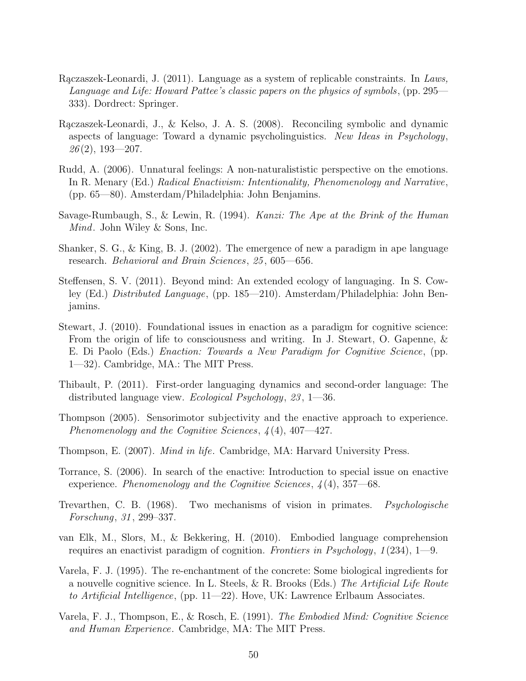- Raczaszek-Leonardi, J.  $(2011)$ . Language as a system of replicable constraints. In Laws, Language and Life: Howard Pattee's classic papers on the physics of symbols, (pp. 295— 333). Dordrect: Springer.
- Rączaszek-Leonardi, J., & Kelso, J. A. S. (2008). Reconciling symbolic and dynamic aspects of language: Toward a dynamic psycholinguistics. New Ideas in Psychology,  $26(2), 193 - 207.$
- Rudd, A. (2006). Unnatural feelings: A non-naturalististic perspective on the emotions. In R. Menary (Ed.) Radical Enactivism: Intentionality, Phenomenology and Narrative, (pp. 65—80). Amsterdam/Philadelphia: John Benjamins.
- Savage-Rumbaugh, S., & Lewin, R. (1994). Kanzi: The Ape at the Brink of the Human Mind. John Wiley & Sons, Inc.
- Shanker, S. G., & King, B. J. (2002). The emergence of new a paradigm in ape language research. Behavioral and Brain Sciences, 25 , 605—656.
- Steffensen, S. V. (2011). Beyond mind: An extended ecology of languaging. In S. Cowley (Ed.) Distributed Language, (pp. 185—210). Amsterdam/Philadelphia: John Benjamins.
- Stewart, J. (2010). Foundational issues in enaction as a paradigm for cognitive science: From the origin of life to consciousness and writing. In J. Stewart, O. Gapenne, & E. Di Paolo (Eds.) Enaction: Towards a New Paradigm for Cognitive Science, (pp. 1—32). Cambridge, MA.: The MIT Press.
- Thibault, P. (2011). First-order languaging dynamics and second-order language: The distributed language view. *Ecological Psychology*, 23, 1—36.
- Thompson (2005). Sensorimotor subjectivity and the enactive approach to experience. Phenomenology and the Cognitive Sciences, 4 (4), 407—427.
- Thompson, E. (2007). Mind in life. Cambridge, MA: Harvard University Press.
- Torrance, S. (2006). In search of the enactive: Introduction to special issue on enactive experience. Phenomenology and the Cognitive Sciences,  $\lambda(4)$ , 357–68.
- Trevarthen, C. B. (1968). Two mechanisms of vision in primates. Psychologische Forschung, 31 , 299–337.
- van Elk, M., Slors, M., & Bekkering, H. (2010). Embodied language comprehension requires an enactivist paradigm of cognition. Frontiers in Psychology,  $1(234)$ ,  $1-9$ .
- Varela, F. J. (1995). The re-enchantment of the concrete: Some biological ingredients for a nouvelle cognitive science. In L. Steels,  $\& R$ . Brooks (Eds.) The Artificial Life Route to Artificial Intelligence, (pp.  $11-22$ ). Hove, UK: Lawrence Erlbaum Associates.
- Varela, F. J., Thompson, E., & Rosch, E. (1991). The Embodied Mind: Cognitive Science and Human Experience. Cambridge, MA: The MIT Press.